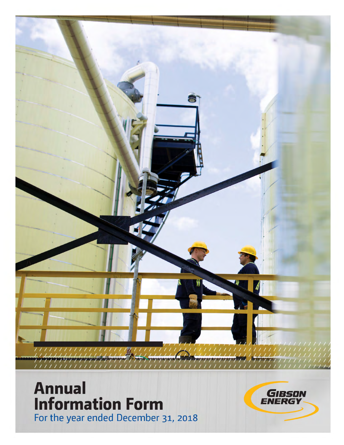

# **Annual Information Form** For the year ended December 31, 2018

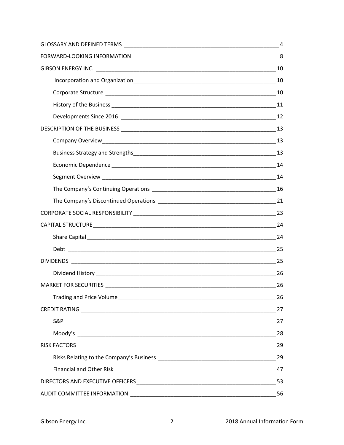| 26 |
|----|
|    |
|    |
|    |
| 29 |
|    |
| 47 |
|    |
| 56 |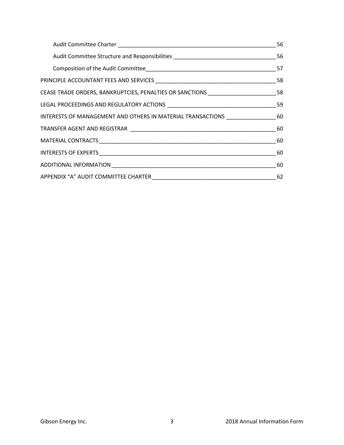| CEASE TRADE ORDERS, BANKRUPTCIES, PENALTIES OR SANCTIONS _____________________58   |    |
|------------------------------------------------------------------------------------|----|
|                                                                                    |    |
| INTERESTS OF MANAGEMENT AND OTHERS IN MATERIAL TRANSACTIONS ____________________60 |    |
|                                                                                    | 60 |
|                                                                                    |    |
|                                                                                    |    |
|                                                                                    | 60 |
|                                                                                    | 62 |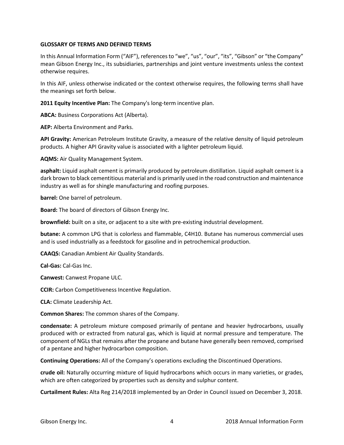## **GLOSSARY OF TERMS AND DEFINED TERMS**

In this Annual Information Form ("AIF"), references to "we", "us", "our", "its", "Gibson" or "the Company" mean Gibson Energy Inc., its subsidiaries, partnerships and joint venture investments unless the context otherwise requires.

In this AIF, unless otherwise indicated or the context otherwise requires, the following terms shall have the meanings set forth below.

**2011 Equity Incentive Plan:** The Company's long-term incentive plan.

**ABCA:** Business Corporations Act (Alberta).

**AEP:** Alberta Environment and Parks.

**API Gravity:** American Petroleum Institute Gravity, a measure of the relative density of liquid petroleum products. A higher API Gravity value is associated with a lighter petroleum liquid.

**AQMS:** Air Quality Management System.

**asphalt:** Liquid asphalt cement is primarily produced by petroleum distillation. Liquid asphalt cement is a dark brown to black cementitious material and is primarily used in the road construction and maintenance industry as well as for shingle manufacturing and roofing purposes.

**barrel:** One barrel of petroleum.

**Board:** The board of directors of Gibson Energy Inc.

**brownfield:** built on a site, or adjacent to a site with pre-existing industrial development.

**butane:** A common LPG that is colorless and flammable, C4H10. Butane has numerous commercial uses and is used industrially as a feedstock for gasoline and in petrochemical production.

**CAAQS:** Canadian Ambient Air Quality Standards.

**Cal-Gas:** Cal-Gas Inc.

**Canwest:** Canwest Propane ULC.

**CCIR:** Carbon Competitiveness Incentive Regulation.

**CLA:** Climate Leadership Act.

**Common Shares:** The common shares of the Company.

**condensate:** A petroleum mixture composed primarily of pentane and heavier hydrocarbons, usually produced with or extracted from natural gas, which is liquid at normal pressure and temperature. The component of NGLs that remains after the propane and butane have generally been removed, comprised of a pentane and higher hydrocarbon composition.

**Continuing Operations:** All of the Company's operations excluding the Discontinued Operations.

**crude oil:** Naturally occurring mixture of liquid hydrocarbons which occurs in many varieties, or grades, which are often categorized by properties such as density and sulphur content.

**Curtailment Rules:** Alta Reg 214/2018 implemented by an Order in Council issued on December 3, 2018.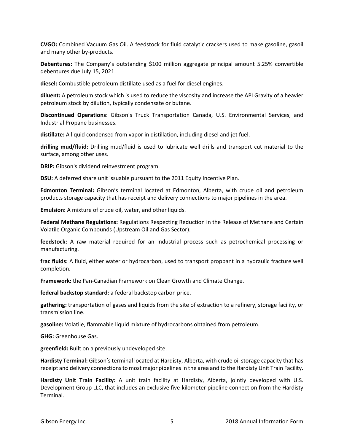**CVGO:** Combined Vacuum Gas Oil. A feedstock for fluid catalytic crackers used to make gasoline, gasoil and many other by-products.

**Debentures:** The Company's outstanding \$100 million aggregate principal amount 5.25% convertible debentures due July 15, 2021.

**diesel:** Combustible petroleum distillate used as a fuel for diesel engines.

**diluent:** A petroleum stock which is used to reduce the viscosity and increase the API Gravity of a heavier petroleum stock by dilution, typically condensate or butane.

**Discontinued Operations:** Gibson's Truck Transportation Canada, U.S. Environmental Services, and Industrial Propane businesses.

**distillate:** A liquid condensed from vapor in distillation, including diesel and jet fuel.

**drilling mud/fluid:** Drilling mud/fluid is used to lubricate well drills and transport cut material to the surface, among other uses.

**DRIP:** Gibson's dividend reinvestment program.

**DSU:** A deferred share unit issuable pursuant to the 2011 Equity Incentive Plan.

**Edmonton Terminal:** Gibson's terminal located at Edmonton, Alberta, with crude oil and petroleum products storage capacity that has receipt and delivery connections to major pipelines in the area.

**Emulsion:** A mixture of crude oil, water, and other liquids.

**Federal Methane Regulations:** Regulations Respecting Reduction in the Release of Methane and Certain Volatile Organic Compounds (Upstream Oil and Gas Sector).

**feedstock:** A raw material required for an industrial process such as petrochemical processing or manufacturing.

**frac fluids:** A fluid, either water or hydrocarbon, used to transport proppant in a hydraulic fracture well completion.

**Framework:** the Pan-Canadian Framework on Clean Growth and Climate Change.

**federal backstop standard:** a federal backstop carbon price.

**gathering:** transportation of gases and liquids from the site of extraction to a refinery, storage facility, or transmission line.

**gasoline:** Volatile, flammable liquid mixture of hydrocarbons obtained from petroleum.

**GHG:** Greenhouse Gas.

**greenfield:** Built on a previously undeveloped site.

**Hardisty Terminal:** Gibson's terminal located at Hardisty, Alberta, with crude oil storage capacity that has receipt and delivery connections to most major pipelines in the area and to the Hardisty Unit Train Facility.

**Hardisty Unit Train Facility:** A unit train facility at Hardisty, Alberta, jointly developed with U.S. Development Group LLC, that includes an exclusive five-kilometer pipeline connection from the Hardisty Terminal.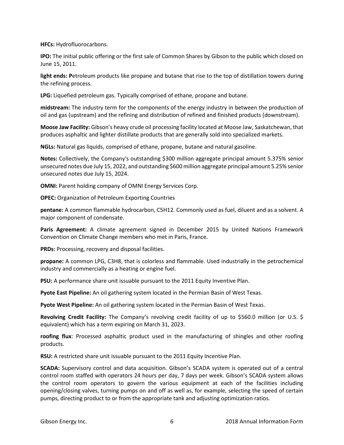**HFCs:** Hydrofluorocarbons.

**IPO:** The initial public offering or the first sale of Common Shares by Gibson to the public which closed on June 15, 2011.

**light ends: P**etroleum products like propane and butane that rise to the top of distillation towers during the refining process.

**LPG:** Liquefied petroleum gas. Typically comprised of ethane, propane and butane.

**midstream:** The industry term for the components of the energy industry in between the production of oil and gas (upstream) and the refining and distribution of refined and finished products (downstream).

**Moose Jaw Facility:** Gibson's heavy crude oil processing facility located at Moose Jaw, Saskatchewan, that produces asphaltic and lighter distillate products that are generally sold into specialized markets.

**NGLs:** Natural gas liquids, comprised of ethane, propane, butane and natural gasoline.

**Notes:** Collectively, the Company's outstanding \$300 million aggregate principal amount 5.375% senior unsecured notes due July 15, 2022, and outstanding \$600 million aggregate principal amount 5.25% senior unsecured notes due July 15, 2024.

**OMNI:** Parent holding company of OMNI Energy Services Corp.

**OPEC:** Organization of Petroleum Exporting Countries

**pentane:** A common flammable hydrocarbon, C5H12. Commonly used as fuel, diluent and as a solvent. A major component of condensate.

**Paris Agreement:** A climate agreement signed in December 2015 by United Nations Framework Convention on Climate Change members who met in Paris, France.

**PRDs:** Processing, recovery and disposal facilities.

**propane:** A common LPG, C3H8, that is colorless and flammable. Used industrially in the petrochemical industry and commercially as a heating or engine fuel.

**PSU:** A performance share unit issuable pursuant to the 2011 Equity Inventive Plan.

**Pyote East Pipeline:** An oil gathering system located in the Permian Basin of West Texas.

**Pyote West Pipeline:** An oil gathering system located in the Permian Basin of West Texas.

**Revolving Credit Facility:** The Company's revolving credit facility of up to \$560.0 million (or U.S. \$ equivalent) which has a term expiring on March 31, 2023.

**roofing flux**: Processed asphaltic product used in the manufacturing of shingles and other roofing products.

**RSU:** A restricted share unit issuable pursuant to the 2011 Equity Incentive Plan.

**SCADA:** Supervisory control and data acquisition. Gibson's SCADA system is operated out of a central control room staffed with operators 24 hours per day, 7 days per week. Gibson's SCADA system allows the control room operators to govern the various equipment at each of the facilities including opening/closing valves, turning pumps on and off as well as, for example, selecting the speed of certain pumps, directing product to or from the appropriate tank and adjusting optimization ratios.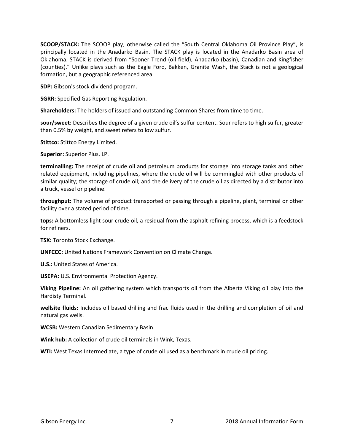**SCOOP/STACK:** The SCOOP play, otherwise called the "South Central Oklahoma Oil Province Play", is principally located in the Anadarko Basin. The STACK play is located in the Anadarko Basin area of Oklahoma. STACK is derived from "Sooner Trend (oil field), Anadarko (basin), Canadian and Kingfisher (counties)." Unlike plays such as the Eagle Ford, Bakken, Granite Wash, the Stack is not a geological formation, but a geographic referenced area.

**SDP:** Gibson's stock dividend program.

**SGRR:** Specified Gas Reporting Regulation.

**Shareholders:** The holders of issued and outstanding Common Shares from time to time.

**sour/sweet:** Describes the degree of a given crude oil's sulfur content. Sour refers to high sulfur, greater than 0.5% by weight, and sweet refers to low sulfur.

**Stittco:** Stittco Energy Limited.

**Superior:** Superior Plus, LP.

**terminalling:** The receipt of crude oil and petroleum products for storage into storage tanks and other related equipment, including pipelines, where the crude oil will be commingled with other products of similar quality; the storage of crude oil; and the delivery of the crude oil as directed by a distributor into a truck, vessel or pipeline.

**throughput:** The volume of product transported or passing through a pipeline, plant, terminal or other facility over a stated period of time.

**tops:** A bottomless light sour crude oil, a residual from the asphalt refining process, which is a feedstock for refiners.

**TSX:** Toronto Stock Exchange.

**UNFCCC:** United Nations Framework Convention on Climate Change.

**U.S.:** United States of America.

**USEPA:** U.S. Environmental Protection Agency.

**Viking Pipeline:** An oil gathering system which transports oil from the Alberta Viking oil play into the Hardisty Terminal.

**wellsite fluids:** Includes oil based drilling and frac fluids used in the drilling and completion of oil and natural gas wells.

**WCSB:** Western Canadian Sedimentary Basin.

**Wink hub:** A collection of crude oil terminals in Wink, Texas.

**WTI:** West Texas Intermediate, a type of crude oil used as a benchmark in crude oil pricing.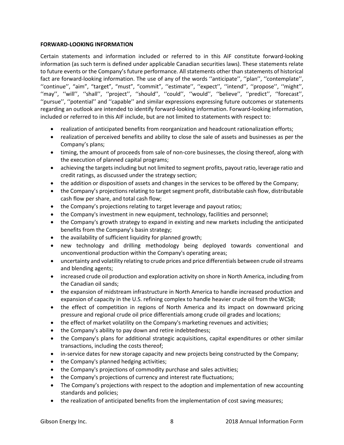## **FORWARD-LOOKING INFORMATION**

Certain statements and information included or referred to in this AIF constitute forward-looking information (as such term is defined under applicable Canadian securities laws). These statements relate to future events or the Company's future performance. All statements other than statements of historical fact are forward-looking information. The use of any of the words ''anticipate'', ''plan'', ''contemplate'', ''continue'', "aim", "target", "must", "commit", ''estimate'', ''expect'', ''intend'', ''propose'', ''might'', ''may'', ''will'', ''shall'', ''project'', ''should'', ''could'', ''would'', ''believe'', ''predict'', ''forecast'', ''pursue'', ''potential'' and ''capable'' and similar expressions expressing future outcomes or statements regarding an outlook are intended to identify forward-looking information. Forward-looking information, included or referred to in this AIF include, but are not limited to statements with respect to:

- realization of anticipated benefits from reorganization and headcount rationalization efforts;
- realization of perceived benefits and ability to close the sale of assets and businesses as per the Company's plans;
- timing, the amount of proceeds from sale of non-core businesses, the closing thereof, along with the execution of planned capital programs;
- achieving the targets including but not limited to segment profits, payout ratio, leverage ratio and credit ratings, as discussed under the strategy section;
- the addition or disposition of assets and changes in the services to be offered by the Company;
- the Company's projections relating to target segment profit, distributable cash flow, distributable cash flow per share, and total cash flow;
- the Company's projections relating to target leverage and payout ratios;
- the Company's investment in new equipment, technology, facilities and personnel;
- the Company's growth strategy to expand in existing and new markets including the anticipated benefits from the Company's basin strategy;
- the availability of sufficient liquidity for planned growth;
- new technology and drilling methodology being deployed towards conventional and unconventional production within the Company's operating areas;
- uncertainty and volatility relating to crude prices and price differentials between crude oil streams and blending agents;
- increased crude oil production and exploration activity on shore in North America, including from the Canadian oil sands;
- the expansion of midstream infrastructure in North America to handle increased production and expansion of capacity in the U.S. refining complex to handle heavier crude oil from the WCSB;
- the effect of competition in regions of North America and its impact on downward pricing pressure and regional crude oil price differentials among crude oil grades and locations;
- the effect of market volatility on the Company's marketing revenues and activities;
- the Company's ability to pay down and retire indebtedness;
- the Company's plans for additional strategic acquisitions, capital expenditures or other similar transactions, including the costs thereof;
- in-service dates for new storage capacity and new projects being constructed by the Company;
- the Company's planned hedging activities;
- the Company's projections of commodity purchase and sales activities;
- the Company's projections of currency and interest rate fluctuations;
- The Company's projections with respect to the adoption and implementation of new accounting standards and policies;
- the realization of anticipated benefits from the implementation of cost saving measures;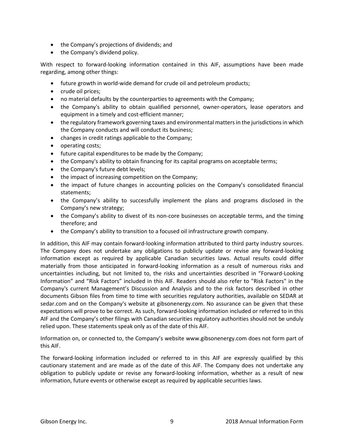- the Company's projections of dividends; and
- the Company's dividend policy.

With respect to forward-looking information contained in this AIF, assumptions have been made regarding, among other things:

- future growth in world-wide demand for crude oil and petroleum products;
- crude oil prices;
- no material defaults by the counterparties to agreements with the Company;
- the Company's ability to obtain qualified personnel, owner-operators, lease operators and equipment in a timely and cost-efficient manner;
- the regulatory framework governing taxes and environmental matters in the jurisdictions in which the Company conducts and will conduct its business;
- changes in credit ratings applicable to the Company;
- operating costs;
- future capital expenditures to be made by the Company;
- the Company's ability to obtain financing for its capital programs on acceptable terms;
- the Company's future debt levels;
- the impact of increasing competition on the Company;
- the impact of future changes in accounting policies on the Company's consolidated financial statements;
- the Company's ability to successfully implement the plans and programs disclosed in the Company's new strategy;
- the Company's ability to divest of its non-core businesses on acceptable terms, and the timing therefore; and
- the Company's ability to transition to a focused oil infrastructure growth company.

In addition, this AIF may contain forward-looking information attributed to third party industry sources. The Company does not undertake any obligations to publicly update or revise any forward-looking information except as required by applicable Canadian securities laws. Actual results could differ materially from those anticipated in forward-looking information as a result of numerous risks and uncertainties including, but not limited to, the risks and uncertainties described in "Forward-Looking Information" and "Risk Factors" included in this AIF. Readers should also refer to "Risk Factors" in the Company's current Management's Discussion and Analysis and to the risk factors described in other documents Gibson files from time to time with securities regulatory authorities, available on SEDAR at sedar.com and on the Company's website at gibsonenergy.com. No assurance can be given that these expectations will prove to be correct. As such, forward-looking information included or referred to in this AIF and the Company's other filings with Canadian securities regulatory authorities should not be unduly relied upon. These statements speak only as of the date of this AIF.

Information on, or connected to, the Company's website www.gibsonenergy.com does not form part of this AIF.

The forward-looking information included or referred to in this AIF are expressly qualified by this cautionary statement and are made as of the date of this AIF. The Company does not undertake any obligation to publicly update or revise any forward-looking information, whether as a result of new information, future events or otherwise except as required by applicable securities laws.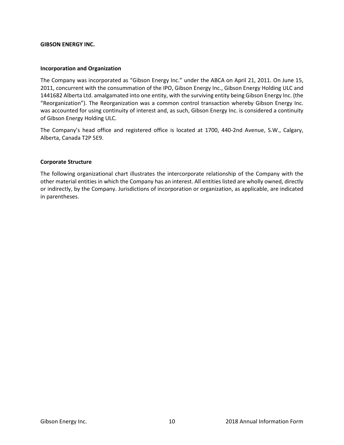## **GIBSON ENERGY INC.**

## **Incorporation and Organization**

The Company was incorporated as "Gibson Energy Inc." under the ABCA on April 21, 2011. On June 15, 2011, concurrent with the consummation of the IPO, Gibson Energy Inc., Gibson Energy Holding ULC and 1441682 Alberta Ltd. amalgamated into one entity, with the surviving entity being Gibson Energy Inc. (the "Reorganization"). The Reorganization was a common control transaction whereby Gibson Energy Inc. was accounted for using continuity of interest and, as such, Gibson Energy Inc. is considered a continuity of Gibson Energy Holding ULC.

The Company's head office and registered office is located at 1700, 440-2nd Avenue, S.W., Calgary, Alberta, Canada T2P 5E9.

## **Corporate Structure**

The following organizational chart illustrates the intercorporate relationship of the Company with the other material entities in which the Company has an interest. All entities listed are wholly owned, directly or indirectly, by the Company. Jurisdictions of incorporation or organization, as applicable, are indicated in parentheses.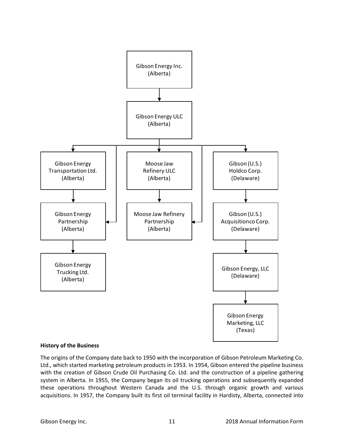

## **History of the Business**

The origins of the Company date back to 1950 with the incorporation of Gibson Petroleum Marketing Co. Ltd., which started marketing petroleum products in 1953. In 1954, Gibson entered the pipeline business with the creation of Gibson Crude Oil Purchasing Co. Ltd. and the construction of a pipeline gathering system in Alberta. In 1955, the Company began its oil trucking operations and subsequently expanded these operations throughout Western Canada and the U.S. through organic growth and various acquisitions. In 1957, the Company built its first oil terminal facility in Hardisty, Alberta, connected into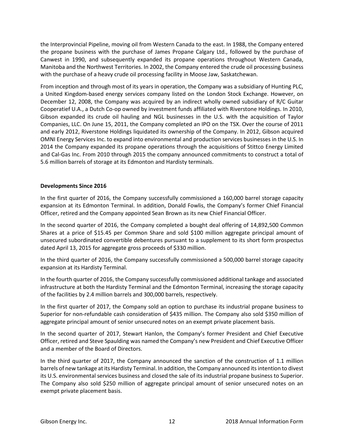the Interprovincial Pipeline, moving oil from Western Canada to the east. In 1988, the Company entered the propane business with the purchase of James Propane Calgary Ltd., followed by the purchase of Canwest in 1990, and subsequently expanded its propane operations throughout Western Canada, Manitoba and the Northwest Territories. In 2002, the Company entered the crude oil processing business with the purchase of a heavy crude oil processing facility in Moose Jaw, Saskatchewan.

From inception and through most of its years in operation, the Company was a subsidiary of Hunting PLC, a United Kingdom-based energy services company listed on the London Stock Exchange. However, on December 12, 2008, the Company was acquired by an indirect wholly owned subsidiary of R/C Guitar Cooperatief U.A., a Dutch Co-op owned by investment funds affiliated with Riverstone Holdings. In 2010, Gibson expanded its crude oil hauling and NGL businesses in the U.S. with the acquisition of Taylor Companies, LLC. On June 15, 2011, the Company completed an IPO on the TSX. Over the course of 2011 and early 2012, Riverstone Holdings liquidated its ownership of the Company. In 2012, Gibson acquired OMNI Energy Services Inc. to expand into environmental and production services businesses in the U.S. In 2014 the Company expanded its propane operations through the acquisitions of Stittco Energy Limited and Cal-Gas Inc. From 2010 through 2015 the company announced commitments to construct a total of 5.6 million barrels of storage at its Edmonton and Hardisty terminals.

## **Developments Since 2016**

In the first quarter of 2016, the Company successfully commissioned a 160,000 barrel storage capacity expansion at its Edmonton Terminal. In addition, Donald Fowlis, the Company's former Chief Financial Officer, retired and the Company appointed Sean Brown as its new Chief Financial Officer.

In the second quarter of 2016, the Company completed a bought deal offering of 14,892,500 Common Shares at a price of \$15.45 per Common Share and sold \$100 million aggregate principal amount of unsecured subordinated convertible debentures pursuant to a supplement to its short form prospectus dated April 13, 2015 for aggregate gross proceeds of \$330 million.

In the third quarter of 2016, the Company successfully commissioned a 500,000 barrel storage capacity expansion at its Hardisty Terminal.

In the fourth quarter of 2016, the Company successfully commissioned additional tankage and associated infrastructure at both the Hardisty Terminal and the Edmonton Terminal, increasing the storage capacity of the facilities by 2.4 million barrels and 300,000 barrels, respectively.

In the first quarter of 2017, the Company sold an option to purchase its industrial propane business to Superior for non-refundable cash consideration of \$435 million. The Company also sold \$350 million of aggregate principal amount of senior unsecured notes on an exempt private placement basis.

In the second quarter of 2017, Stewart Hanlon, the Company's former President and Chief Executive Officer, retired and Steve Spaulding was named the Company's new President and Chief Executive Officer and a member of the Board of Directors.

In the third quarter of 2017, the Company announced the sanction of the construction of 1.1 million barrels of new tankage at its Hardisty Terminal. In addition, the Company announced its intention to divest its U.S. environmental services business and closed the sale of its industrial propane business to Superior. The Company also sold \$250 million of aggregate principal amount of senior unsecured notes on an exempt private placement basis.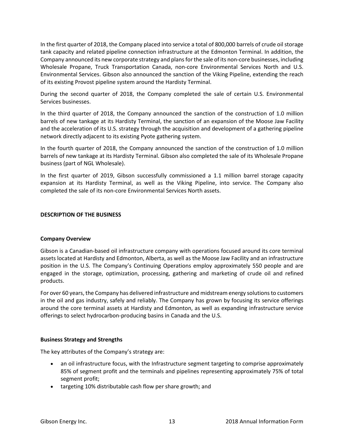In the first quarter of 2018, the Company placed into service a total of 800,000 barrels of crude oil storage tank capacity and related pipeline connection infrastructure at the Edmonton Terminal. In addition, the Company announced its new corporate strategy and plans for the sale of its non-core businesses, including Wholesale Propane, Truck Transportation Canada, non-core Environmental Services North and U.S. Environmental Services. Gibson also announced the sanction of the Viking Pipeline, extending the reach of its existing Provost pipeline system around the Hardisty Terminal.

During the second quarter of 2018, the Company completed the sale of certain U.S. Environmental Services businesses.

In the third quarter of 2018, the Company announced the sanction of the construction of 1.0 million barrels of new tankage at its Hardisty Terminal, the sanction of an expansion of the Moose Jaw Facility and the acceleration of its U.S. strategy through the acquisition and development of a gathering pipeline network directly adjacent to its existing Pyote gathering system.

In the fourth quarter of 2018, the Company announced the sanction of the construction of 1.0 million barrels of new tankage at its Hardisty Terminal. Gibson also completed the sale of its Wholesale Propane business (part of NGL Wholesale).

In the first quarter of 2019, Gibson successfully commissioned a 1.1 million barrel storage capacity expansion at its Hardisty Terminal, as well as the Viking Pipeline, into service. The Company also completed the sale of its non-core Environmental Services North assets.

## **DESCRIPTION OF THE BUSINESS**

## **Company Overview**

Gibson is a Canadian-based oil infrastructure company with operations focused around its core terminal assets located at Hardisty and Edmonton, Alberta, as well as the Moose Jaw Facility and an infrastructure position in the U.S. The Company's Continuing Operations employ approximately 550 people and are engaged in the storage, optimization, processing, gathering and marketing of crude oil and refined products.

For over 60 years, the Company has delivered infrastructure and midstream energy solutions to customers in the oil and gas industry, safely and reliably. The Company has grown by focusing its service offerings around the core terminal assets at Hardisty and Edmonton, as well as expanding infrastructure service offerings to select hydrocarbon-producing basins in Canada and the U.S.

## **Business Strategy and Strengths**

The key attributes of the Company's strategy are:

- an oil infrastructure focus, with the Infrastructure segment targeting to comprise approximately 85% of segment profit and the terminals and pipelines representing approximately 75% of total segment profit;
- targeting 10% distributable cash flow per share growth; and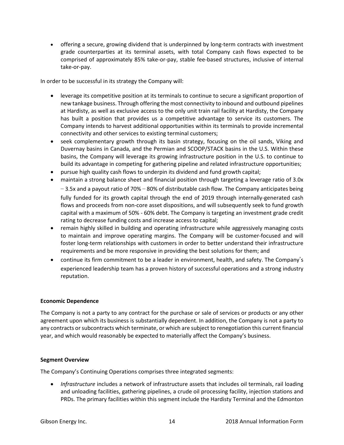• offering a secure, growing dividend that is underpinned by long-term contracts with investment grade counterparties at its terminal assets, with total Company cash flows expected to be comprised of approximately 85% take-or-pay, stable fee-based structures, inclusive of internal take-or-pay.

In order to be successful in its strategy the Company will:

- leverage its competitive position at its terminals to continue to secure a significant proportion of new tankage business. Through offering the most connectivity to inbound and outbound pipelines at Hardisty, as well as exclusive access to the only unit train rail facility at Hardisty, the Company has built a position that provides us a competitive advantage to service its customers. The Company intends to harvest additional opportunities within its terminals to provide incremental connectivity and other services to existing terminal customers;
- seek complementary growth through its basin strategy, focusing on the oil sands, Viking and Duvernay basins in Canada, and the Permian and SCOOP/STACK basins in the U.S. Within these basins, the Company will leverage its growing infrastructure position in the U.S. to continue to build its advantage in competing for gathering pipeline and related infrastructure opportunities;
- pursue high quality cash flows to underpin its dividend and fund growth capital;
- maintain a strong balance sheet and financial position through targeting a leverage ratio of 3.0x  $-3.5x$  and a payout ratio of 70% – 80% of distributable cash flow. The Company anticipates being fully funded for its growth capital through the end of 2019 through internally-generated cash flows and proceeds from non-core asset dispositions, and will subsequently seek to fund growth capital with a maximum of 50% - 60% debt. The Company is targeting an investment grade credit rating to decrease funding costs and increase access to capital;
- remain highly skilled in building and operating infrastructure while aggressively managing costs to maintain and improve operating margins. The Company will be customer-focused and will foster long-term relationships with customers in order to better understand their infrastructure requirements and be more responsive in providing the best solutions for them; and
- continue its firm commitment to be a leader in environment, health, and safety. The Company's experienced leadership team has a proven history of successful operations and a strong industry reputation.

# **Economic Dependence**

The Company is not a party to any contract for the purchase or sale of services or products or any other agreement upon which its business is substantially dependent. In addition, the Company is not a party to any contracts or subcontracts which terminate, or which are subject to renegotiation this current financial year, and which would reasonably be expected to materially affect the Company's business.

## **Segment Overview**

The Company's Continuing Operations comprises three integrated segments:

• *Infrastructure* includes a network of infrastructure assets that includes oil terminals, rail loading and unloading facilities, gathering pipelines, a crude oil processing facility, injection stations and PRDs. The primary facilities within this segment include the Hardisty Terminal and the Edmonton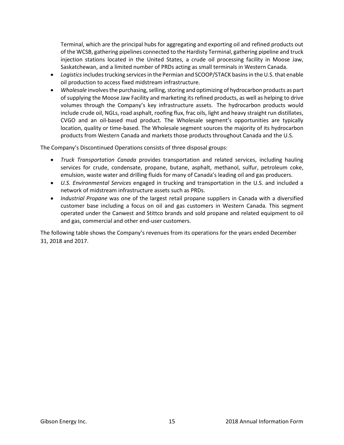Terminal, which are the principal hubs for aggregating and exporting oil and refined products out of the WCSB, gathering pipelines connected to the Hardisty Terminal, gathering pipeline and truck injection stations located in the United States, a crude oil processing facility in Moose Jaw, Saskatchewan, and a limited number of PRDs acting as small terminals in Western Canada.

- *Logistics* includes trucking services in the Permian and SCOOP/STACK basins in the U.S. that enable oil production to access fixed midstream infrastructure.
- *Wholesale* involves the purchasing, selling, storing and optimizing of hydrocarbon products as part of supplying the Moose Jaw Facility and marketing its refined products, as well as helping to drive volumes through the Company's key infrastructure assets. The hydrocarbon products would include crude oil, NGLs, road asphalt, roofing flux, frac oils, light and heavy straight run distillates, CVGO and an oil-based mud product. The Wholesale segment's opportunities are typically location, quality or time-based. The Wholesale segment sources the majority of its hydrocarbon products from Western Canada and markets those products throughout Canada and the U.S.

The Company's Discontinued Operations consists of three disposal groups:

- *Truck Transportation Canada* provides transportation and related services, including hauling services for crude, condensate, propane, butane, asphalt, methanol, sulfur, petroleum coke, emulsion, waste water and drilling fluids for many of Canada's leading oil and gas producers.
- *U.S. Environmental Services* engaged in trucking and transportation in the U.S. and included a network of midstream infrastructure assets such as PRDs.
- *Industrial Propane* was one of the largest retail propane suppliers in Canada with a diversified customer base including a focus on oil and gas customers in Western Canada. This segment operated under the Canwest and Stittco brands and sold propane and related equipment to oil and gas, commercial and other end-user customers.

The following table shows the Company's revenues from its operations for the years ended December 31, 2018 and 2017.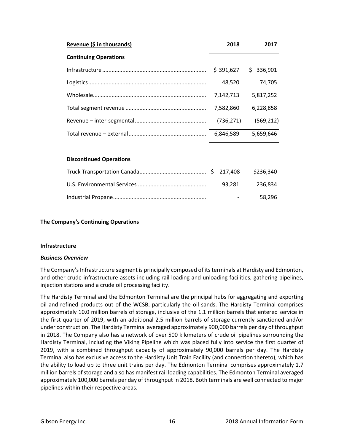| Revenue (\$ in thousands)    | 2018       | 2017           |
|------------------------------|------------|----------------|
| <b>Continuing Operations</b> |            |                |
|                              | \$391,627  | \$.<br>336,901 |
|                              | 48,520     | 74.705         |
|                              | 7,142,713  | 5,817,252      |
|                              | 7,582,860  | 6,228,858      |
|                              | (736, 271) | (569, 212)     |
|                              | 6.846.589  | 5,659,646      |
|                              |            |                |

## **Discontinued Operations**

|  |                      | 93.281 236.834 |
|--|----------------------|----------------|
|  | <b>Service</b> State | 58.296         |

## **The Company's Continuing Operations**

## **Infrastructure**

## *Business Overview*

The Company's Infrastructure segment is principally composed of its terminals at Hardisty and Edmonton, and other crude infrastructure assets including rail loading and unloading facilities, gathering pipelines, injection stations and a crude oil processing facility.

The Hardisty Terminal and the Edmonton Terminal are the principal hubs for aggregating and exporting oil and refined products out of the WCSB, particularly the oil sands. The Hardisty Terminal comprises approximately 10.0 million barrels of storage, inclusive of the 1.1 million barrels that entered service in the first quarter of 2019, with an additional 2.5 million barrels of storage currently sanctioned and/or under construction. The Hardisty Terminal averaged approximately 900,000 barrels per day of throughput in 2018. The Company also has a network of over 500 kilometers of crude oil pipelines surrounding the Hardisty Terminal, including the Viking Pipeline which was placed fully into service the first quarter of 2019, with a combined throughput capacity of approximately 90,000 barrels per day. The Hardisty Terminal also has exclusive access to the Hardisty Unit Train Facility (and connection thereto), which has the ability to load up to three unit trains per day. The Edmonton Terminal comprises approximately 1.7 million barrels of storage and also has manifest rail loading capabilities. The Edmonton Terminal averaged approximately 100,000 barrels per day of throughput in 2018. Both terminals are well connected to major pipelines within their respective areas.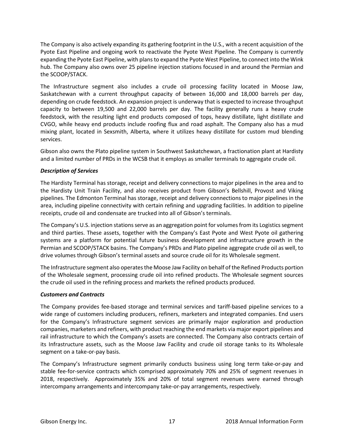The Company is also actively expanding its gathering footprint in the U.S., with a recent acquisition of the Pyote East Pipeline and ongoing work to reactivate the Pyote West Pipeline. The Company is currently expanding the Pyote East Pipeline, with plans to expand the Pyote West Pipeline, to connect into the Wink hub. The Company also owns over 25 pipeline injection stations focused in and around the Permian and the SCOOP/STACK.

The Infrastructure segment also includes a crude oil processing facility located in Moose Jaw, Saskatchewan with a current throughput capacity of between 16,000 and 18,000 barrels per day, depending on crude feedstock. An expansion project is underway that is expected to increase throughput capacity to between 19,500 and 22,000 barrels per day. The facility generally runs a heavy crude feedstock, with the resulting light end products composed of tops, heavy distillate, light distillate and CVGO, while heavy end products include roofing flux and road asphalt. The Company also has a mud mixing plant, located in Sexsmith, Alberta, where it utilizes heavy distillate for custom mud blending services.

Gibson also owns the Plato pipeline system in Southwest Saskatchewan, a fractionation plant at Hardisty and a limited number of PRDs in the WCSB that it employs as smaller terminals to aggregate crude oil.

# *Description of Services*

The Hardisty Terminal has storage, receipt and delivery connections to major pipelines in the area and to the Hardisty Unit Train Facility, and also receives product from Gibson's Bellshill, Provost and Viking pipelines. The Edmonton Terminal has storage, receipt and delivery connections to major pipelines in the area, including pipeline connectivity with certain refining and upgrading facilities. In addition to pipeline receipts, crude oil and condensate are trucked into all of Gibson's terminals.

The Company's U.S. injection stations serve as an aggregation point for volumes from its Logistics segment and third parties. These assets, together with the Company's East Pyote and West Pyote oil gathering systems are a platform for potential future business development and infrastructure growth in the Permian and SCOOP/STACK basins. The Company's PRDs and Plato pipeline aggregate crude oil as well, to drive volumes through Gibson's terminal assets and source crude oil for its Wholesale segment.

The Infrastructure segment also operates the Moose Jaw Facility on behalf of the Refined Products portion of the Wholesale segment, processing crude oil into refined products. The Wholesale segment sources the crude oil used in the refining process and markets the refined products produced.

## *Customers and Contracts*

The Company provides fee-based storage and terminal services and tariff-based pipeline services to a wide range of customers including producers, refiners, marketers and integrated companies. End users for the Company's Infrastructure segment services are primarily major exploration and production companies, marketers and refiners, with product reaching the end markets via major export pipelines and rail infrastructure to which the Company's assets are connected. The Company also contracts certain of its Infrastructure assets, such as the Moose Jaw Facility and crude oil storage tanks to its Wholesale segment on a take-or-pay basis.

The Company's Infrastructure segment primarily conducts business using long term take-or-pay and stable fee-for-service contracts which comprised approximately 70% and 25% of segment revenues in 2018, respectively. Approximately 35% and 20% of total segment revenues were earned through intercompany arrangements and intercompany take-or-pay arrangements, respectively.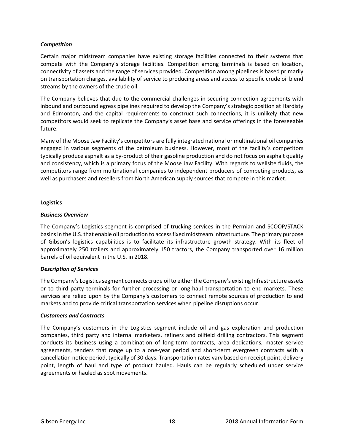## *Competition*

Certain major midstream companies have existing storage facilities connected to their systems that compete with the Company's storage facilities. Competition among terminals is based on location, connectivity of assets and the range of services provided. Competition among pipelines is based primarily on transportation charges, availability of service to producing areas and access to specific crude oil blend streams by the owners of the crude oil.

The Company believes that due to the commercial challenges in securing connection agreements with inbound and outbound egress pipelines required to develop the Company's strategic position at Hardisty and Edmonton, and the capital requirements to construct such connections, it is unlikely that new competitors would seek to replicate the Company's asset base and service offerings in the foreseeable future.

Many of the Moose Jaw Facility's competitors are fully integrated national or multinational oil companies engaged in various segments of the petroleum business. However, most of the facility's competitors typically produce asphalt as a by-product of their gasoline production and do not focus on asphalt quality and consistency, which is a primary focus of the Moose Jaw Facility. With regards to wellsite fluids, the competitors range from multinational companies to independent producers of competing products, as well as purchasers and resellers from North American supply sources that compete in this market.

## **Logistics**

## *Business Overview*

The Company's Logistics segment is comprised of trucking services in the Permian and SCOOP/STACK basins in the U.S. that enable oil production to access fixed midstream infrastructure. The primary purpose of Gibson's logistics capabilities is to facilitate its infrastructure growth strategy. With its fleet of approximately 250 trailers and approximately 150 tractors, the Company transported over 16 million barrels of oil equivalent in the U.S. in 2018.

## *Description of Services*

The Company's Logistics segment connects crude oil to either the Company's existing Infrastructure assets or to third party terminals for further processing or long-haul transportation to end markets. These services are relied upon by the Company's customers to connect remote sources of production to end markets and to provide critical transportation services when pipeline disruptions occur.

## *Customers and Contracts*

The Company's customers in the Logistics segment include oil and gas exploration and production companies, third party and internal marketers, refiners and oilfield drilling contractors. This segment conducts its business using a combination of long-term contracts, area dedications, master service agreements, tenders that range up to a one-year period and short-term evergreen contracts with a cancellation notice period, typically of 30 days. Transportation rates vary based on receipt point, delivery point, length of haul and type of product hauled. Hauls can be regularly scheduled under service agreements or hauled as spot movements.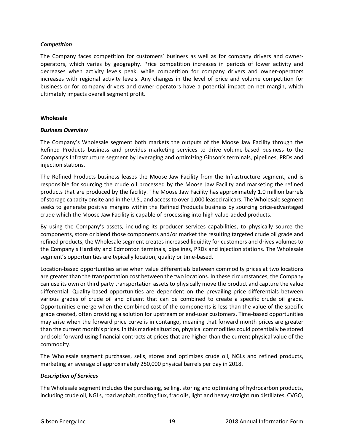## *Competition*

The Company faces competition for customers' business as well as for company drivers and owneroperators, which varies by geography. Price competition increases in periods of lower activity and decreases when activity levels peak, while competition for company drivers and owner-operators increases with regional activity levels. Any changes in the level of price and volume competition for business or for company drivers and owner-operators have a potential impact on net margin, which ultimately impacts overall segment profit.

## **Wholesale**

## *Business Overview*

The Company's Wholesale segment both markets the outputs of the Moose Jaw Facility through the Refined Products business and provides marketing services to drive volume-based business to the Company's Infrastructure segment by leveraging and optimizing Gibson's terminals, pipelines, PRDs and injection stations.

The Refined Products business leases the Moose Jaw Facility from the Infrastructure segment, and is responsible for sourcing the crude oil processed by the Moose Jaw Facility and marketing the refined products that are produced by the facility. The Moose Jaw Facility has approximately 1.0 million barrels of storage capacity onsite and in the U.S., and access to over 1,000 leased railcars. The Wholesale segment seeks to generate positive margins within the Refined Products business by sourcing price-advantaged crude which the Moose Jaw Facility is capable of processing into high value-added products.

By using the Company's assets, including its producer services capabilities, to physically source the components, store or blend those components and/or market the resulting targeted crude oil grade and refined products, the Wholesale segment creates increased liquidity for customers and drives volumes to the Company's Hardisty and Edmonton terminals, pipelines, PRDs and injection stations. The Wholesale segment's opportunities are typically location, quality or time-based.

Location-based opportunities arise when value differentials between commodity prices at two locations are greater than the transportation cost between the two locations. In these circumstances, the Company can use its own or third party transportation assets to physically move the product and capture the value differential. Quality-based opportunities are dependent on the prevailing price differentials between various grades of crude oil and diluent that can be combined to create a specific crude oil grade. Opportunities emerge when the combined cost of the components is less than the value of the specific grade created, often providing a solution for upstream or end-user customers. Time-based opportunities may arise when the forward price curve is in contango, meaning that forward month prices are greater than the current month's prices. In this market situation, physical commodities could potentially be stored and sold forward using financial contracts at prices that are higher than the current physical value of the commodity.

The Wholesale segment purchases, sells, stores and optimizes crude oil, NGLs and refined products, marketing an average of approximately 250,000 physical barrels per day in 2018.

## *Description of Services*

The Wholesale segment includes the purchasing, selling, storing and optimizing of hydrocarbon products, including crude oil, NGLs, road asphalt, roofing flux, frac oils, light and heavy straight run distillates, CVGO,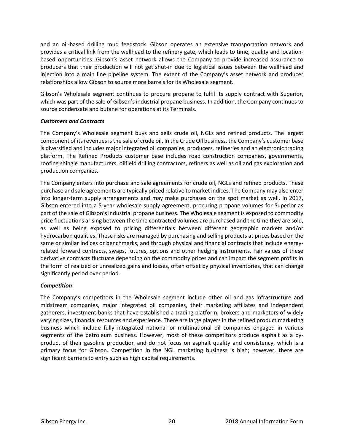and an oil-based drilling mud feedstock. Gibson operates an extensive transportation network and provides a critical link from the wellhead to the refinery gate, which leads to time, quality and locationbased opportunities. Gibson's asset network allows the Company to provide increased assurance to producers that their production will not get shut-in due to logistical issues between the wellhead and injection into a main line pipeline system. The extent of the Company's asset network and producer relationships allow Gibson to source more barrels for its Wholesale segment.

Gibson's Wholesale segment continues to procure propane to fulfil its supply contract with Superior, which was part of the sale of Gibson's industrial propane business. In addition, the Company continues to source condensate and butane for operations at its Terminals.

## *Customers and Contracts*

The Company's Wholesale segment buys and sells crude oil, NGLs and refined products. The largest component of its revenues is the sale of crude oil. In the Crude Oil business, the Company's customer base is diversified and includes major integrated oil companies, producers, refineries and an electronic trading platform. The Refined Products customer base includes road construction companies, governments, roofing shingle manufacturers, oilfield drilling contractors, refiners as well as oil and gas exploration and production companies.

The Company enters into purchase and sale agreements for crude oil, NGLs and refined products. These purchase and sale agreements are typically priced relative to market indices. The Company may also enter into longer-term supply arrangements and may make purchases on the spot market as well. In 2017, Gibson entered into a 5-year wholesale supply agreement, procuring propane volumes for Superior as part of the sale of Gibson's industrial propane business. The Wholesale segment is exposed to commodity price fluctuations arising between the time contracted volumes are purchased and the time they are sold, as well as being exposed to pricing differentials between different geographic markets and/or hydrocarbon qualities. These risks are managed by purchasing and selling products at prices based on the same or similar indices or benchmarks, and through physical and financial contracts that include energyrelated forward contracts, swaps, futures, options and other hedging instruments. Fair values of these derivative contracts fluctuate depending on the commodity prices and can impact the segment profits in the form of realized or unrealized gains and losses, often offset by physical inventories, that can change significantly period over period.

## *Competition*

The Company's competitors in the Wholesale segment include other oil and gas infrastructure and midstream companies, major integrated oil companies, their marketing affiliates and independent gatherers, investment banks that have established a trading platform, brokers and marketers of widely varying sizes, financial resources and experience. There are large players in the refined product marketing business which include fully integrated national or multinational oil companies engaged in various segments of the petroleum business. However, most of these competitors produce asphalt as a byproduct of their gasoline production and do not focus on asphalt quality and consistency, which is a primary focus for Gibson. Competition in the NGL marketing business is high; however, there are significant barriers to entry such as high capital requirements.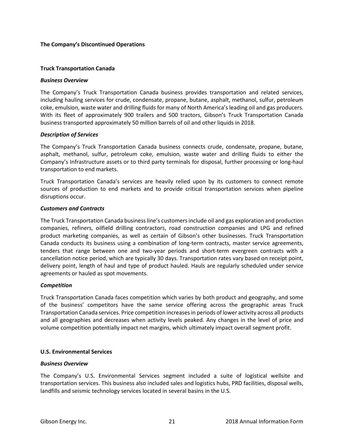## **The Company's Discontinued Operations**

## **Truck Transportation Canada**

## *Business Overview*

The Company's Truck Transportation Canada business provides transportation and related services, including hauling services for crude, condensate, propane, butane, asphalt, methanol, sulfur, petroleum coke, emulsion, waste water and drilling fluids for many of North America's leading oil and gas producers. With its fleet of approximately 900 trailers and 500 tractors, Gibson's Truck Transportation Canada business transported approximately 50 million barrels of oil and other liquids in 2018.

## *Description of Services*

The Company's Truck Transportation Canada business connects crude, condensate, propane, butane, asphalt, methanol, sulfur, petroleum coke, emulsion, waste water and drilling fluids to either the Company's Infrastructure assets or to third party terminals for disposal, further processing or long-haul transportation to end markets.

Truck Transportation Canada's services are heavily relied upon by its customers to connect remote sources of production to end markets and to provide critical transportation services when pipeline disruptions occur.

## *Customers and Contracts*

The Truck Transportation Canada business line's customers include oil and gas exploration and production companies, refiners, oilfield drilling contractors, road construction companies and LPG and refined product marketing companies, as well as certain of Gibson's other businesses. Truck Transportation Canada conducts its business using a combination of long-term contracts, master service agreements, tenders that range between one and two-year periods and short-term evergreen contracts with a cancellation notice period, which are typically 30 days. Transportation rates vary based on receipt point, delivery point, length of haul and type of product hauled. Hauls are regularly scheduled under service agreements or hauled as spot movements.

## *Competition*

Truck Transportation Canada faces competition which varies by both product and geography, and some of the business' competitors have the same service offering across the geographic areas Truck Transportation Canada services. Price competition increasesin periods of lower activity across all products and all geographies and decreases when activity levels peaked. Any changes in the level of price and volume competition potentially impact net margins, which ultimately impact overall segment profit.

## **U.S. Environmental Services**

## *Business Overview*

The Company's U.S. Environmental Services segment included a suite of logistical wellsite and transportation services. This business also included sales and logistics hubs, PRD facilities, disposal wells, landfills and seismic technology services located in several basins in the U.S.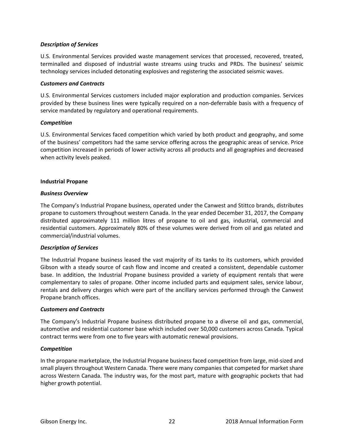## *Description of Services*

U.S. Environmental Services provided waste management services that processed, recovered, treated, terminalled and disposed of industrial waste streams using trucks and PRDs. The business' seismic technology services included detonating explosives and registering the associated seismic waves.

## *Customers and Contracts*

U.S. Environmental Services customers included major exploration and production companies. Services provided by these business lines were typically required on a non-deferrable basis with a frequency of service mandated by regulatory and operational requirements.

## *Competition*

U.S. Environmental Services faced competition which varied by both product and geography, and some of the business' competitors had the same service offering across the geographic areas of service. Price competition increased in periods of lower activity across all products and all geographies and decreased when activity levels peaked.

## **Industrial Propane**

## *Business Overview*

The Company's Industrial Propane business, operated under the Canwest and Stittco brands, distributes propane to customers throughout western Canada. In the year ended December 31, 2017, the Company distributed approximately 111 million litres of propane to oil and gas, industrial, commercial and residential customers. Approximately 80% of these volumes were derived from oil and gas related and commercial/industrial volumes.

## *Description of Services*

The Industrial Propane business leased the vast majority of its tanks to its customers, which provided Gibson with a steady source of cash flow and income and created a consistent, dependable customer base. In addition, the Industrial Propane business provided a variety of equipment rentals that were complementary to sales of propane. Other income included parts and equipment sales, service labour, rentals and delivery charges which were part of the ancillary services performed through the Canwest Propane branch offices.

## *Customers and Contracts*

The Company's Industrial Propane business distributed propane to a diverse oil and gas, commercial, automotive and residential customer base which included over 50,000 customers across Canada. Typical contract terms were from one to five years with automatic renewal provisions.

## *Competition*

In the propane marketplace, the Industrial Propane business faced competition from large, mid-sized and small players throughout Western Canada. There were many companies that competed for market share across Western Canada. The industry was, for the most part, mature with geographic pockets that had higher growth potential.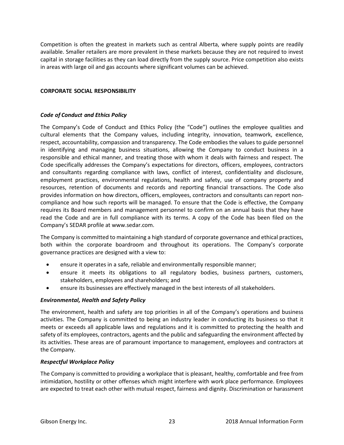Competition is often the greatest in markets such as central Alberta, where supply points are readily available. Smaller retailers are more prevalent in these markets because they are not required to invest capital in storage facilities as they can load directly from the supply source. Price competition also exists in areas with large oil and gas accounts where significant volumes can be achieved.

## **CORPORATE SOCIAL RESPONSIBILITY**

## *Code of Conduct and Ethics Policy*

The Company's Code of Conduct and Ethics Policy (the "Code") outlines the employee qualities and cultural elements that the Company values, including integrity, innovation, teamwork, excellence, respect, accountability, compassion and transparency. The Code embodies the values to guide personnel in identifying and managing business situations, allowing the Company to conduct business in a responsible and ethical manner, and treating those with whom it deals with fairness and respect. The Code specifically addresses the Company's expectations for directors, officers, employees, contractors and consultants regarding compliance with laws, conflict of interest, confidentiality and disclosure, employment practices, environmental regulations, health and safety, use of company property and resources, retention of documents and records and reporting financial transactions. The Code also provides information on how directors, officers, employees, contractors and consultants can report noncompliance and how such reports will be managed. To ensure that the Code is effective, the Company requires its Board members and management personnel to confirm on an annual basis that they have read the Code and are in full compliance with its terms. A copy of the Code has been filed on the Company's SEDAR profile at www.sedar.com.

The Company is committed to maintaining a high standard of corporate governance and ethical practices, both within the corporate boardroom and throughout its operations. The Company's corporate governance practices are designed with a view to:

- ensure it operates in a safe, reliable and environmentally responsible manner;
- ensure it meets its obligations to all regulatory bodies, business partners, customers, stakeholders, employees and shareholders; and
- ensure its businesses are effectively managed in the best interests of all stakeholders.

## *Environmental, Health and Safety Policy*

The environment, health and safety are top priorities in all of the Company's operations and business activities. The Company is committed to being an industry leader in conducting its business so that it meets or exceeds all applicable laws and regulations and it is committed to protecting the health and safety of its employees, contractors, agents and the public and safeguarding the environment affected by its activities. These areas are of paramount importance to management, employees and contractors at the Company.

## *Respectful Workplace Policy*

The Company is committed to providing a workplace that is pleasant, healthy, comfortable and free from intimidation, hostility or other offenses which might interfere with work place performance. Employees are expected to treat each other with mutual respect, fairness and dignity. Discrimination or harassment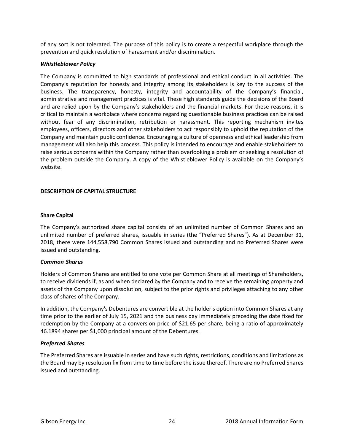of any sort is not tolerated. The purpose of this policy is to create a respectful workplace through the prevention and quick resolution of harassment and/or discrimination.

## *Whistleblower Policy*

The Company is committed to high standards of professional and ethical conduct in all activities. The Company's reputation for honesty and integrity among its stakeholders is key to the success of the business. The transparency, honesty, integrity and accountability of the Company's financial, administrative and management practices is vital. These high standards guide the decisions of the Board and are relied upon by the Company's stakeholders and the financial markets. For these reasons, it is critical to maintain a workplace where concerns regarding questionable business practices can be raised without fear of any discrimination, retribution or harassment. This reporting mechanism invites employees, officers, directors and other stakeholders to act responsibly to uphold the reputation of the Company and maintain public confidence. Encouraging a culture of openness and ethical leadership from management will also help this process. This policy is intended to encourage and enable stakeholders to raise serious concerns within the Company rather than overlooking a problem or seeking a resolution of the problem outside the Company. A copy of the Whistleblower Policy is available on the Company's website.

## **DESCRIPTION OF CAPITAL STRUCTURE**

## **Share Capital**

The Company's authorized share capital consists of an unlimited number of Common Shares and an unlimited number of preferred shares, issuable in series (the "Preferred Shares"). As at December 31, 2018, there were 144,558,790 Common Shares issued and outstanding and no Preferred Shares were issued and outstanding.

## *Common Shares*

Holders of Common Shares are entitled to one vote per Common Share at all meetings of Shareholders, to receive dividends if, as and when declared by the Company and to receive the remaining property and assets of the Company upon dissolution, subject to the prior rights and privileges attaching to any other class of shares of the Company.

In addition, the Company's Debentures are convertible at the holder's option into Common Shares at any time prior to the earlier of July 15, 2021 and the business day immediately preceding the date fixed for redemption by the Company at a conversion price of \$21.65 per share, being a ratio of approximately 46.1894 shares per \$1,000 principal amount of the Debentures.

# *Preferred Shares*

The Preferred Shares are issuable in series and have such rights, restrictions, conditions and limitations as the Board may by resolution fix from time to time before the issue thereof. There are no Preferred Shares issued and outstanding.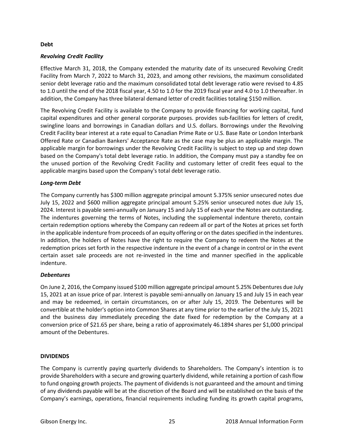## **Debt**

## *Revolving Credit Facility*

Effective March 31, 2018, the Company extended the maturity date of its unsecured Revolving Credit Facility from March 7, 2022 to March 31, 2023, and among other revisions, the maximum consolidated senior debt leverage ratio and the maximum consolidated total debt leverage ratio were revised to 4.85 to 1.0 until the end of the 2018 fiscal year, 4.50 to 1.0 for the 2019 fiscal year and 4.0 to 1.0 thereafter. In addition, the Company has three bilateral demand letter of credit facilities totaling \$150 million.

The Revolving Credit Facility is available to the Company to provide financing for working capital, fund capital expenditures and other general corporate purposes. provides sub-facilities for letters of credit, swingline loans and borrowings in Canadian dollars and U.S. dollars. Borrowings under the Revolving Credit Facility bear interest at a rate equal to Canadian Prime Rate or U.S. Base Rate or London Interbank Offered Rate or Canadian Bankers' Acceptance Rate as the case may be plus an applicable margin. The applicable margin for borrowings under the Revolving Credit Facility is subject to step up and step down based on the Company's total debt leverage ratio. In addition, the Company must pay a standby fee on the unused portion of the Revolving Credit Facility and customary letter of credit fees equal to the applicable margins based upon the Company's total debt leverage ratio.

## *Long-term Debt*

The Company currently has \$300 million aggregate principal amount 5.375% senior unsecured notes due July 15, 2022 and \$600 million aggregate principal amount 5.25% senior unsecured notes due July 15, 2024. Interest is payable semi-annually on January 15 and July 15 of each year the Notes are outstanding. The indentures governing the terms of Notes, including the supplemental indenture thereto, contain certain redemption options whereby the Company can redeem all or part of the Notes at prices set forth in the applicable indenture from proceeds of an equity offering or on the dates specified in the indentures. In addition, the holders of Notes have the right to require the Company to redeem the Notes at the redemption prices set forth in the respective indenture in the event of a change in control or in the event certain asset sale proceeds are not re-invested in the time and manner specified in the applicable indenture.

## *Debentures*

On June 2, 2016, the Company issued \$100 million aggregate principal amount 5.25% Debentures due July 15, 2021 at an issue price of par. Interest is payable semi-annually on January 15 and July 15 in each year and may be redeemed, in certain circumstances, on or after July 15, 2019. The Debentures will be convertible at the holder's option into Common Shares at any time prior to the earlier of the July 15, 2021 and the business day immediately preceding the date fixed for redemption by the Company at a conversion price of \$21.65 per share, being a ratio of approximately 46.1894 shares per \$1,000 principal amount of the Debentures.

## **DIVIDENDS**

The Company is currently paying quarterly dividends to Shareholders. The Company's intention is to provide Shareholders with a secure and growing quarterly dividend, while retaining a portion of cash flow to fund ongoing growth projects. The payment of dividends is not guaranteed and the amount and timing of any dividends payable will be at the discretion of the Board and will be established on the basis of the Company's earnings, operations, financial requirements including funding its growth capital programs,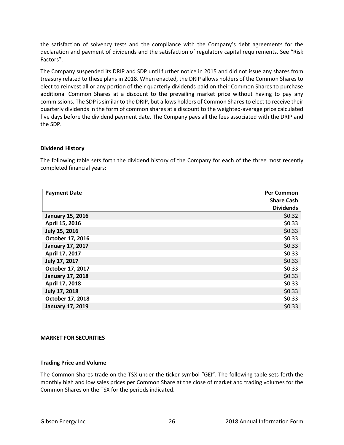the satisfaction of solvency tests and the compliance with the Company's debt agreements for the declaration and payment of dividends and the satisfaction of regulatory capital requirements. See "Risk Factors".

The Company suspended its DRIP and SDP until further notice in 2015 and did not issue any shares from treasury related to these plans in 2018. When enacted, the DRIP allows holders of the Common Shares to elect to reinvest all or any portion of their quarterly dividends paid on their Common Shares to purchase additional Common Shares at a discount to the prevailing market price without having to pay any commissions. The SDP is similar to the DRIP, but allows holders of Common Shares to elect to receive their quarterly dividends in the form of common shares at a discount to the weighted-average price calculated five days before the dividend payment date. The Company pays all the fees associated with the DRIP and the SDP.

## **Dividend History**

The following table sets forth the dividend history of the Company for each of the three most recently completed financial years:

| <b>Payment Date</b>     | <b>Per Common</b> |
|-------------------------|-------------------|
|                         | <b>Share Cash</b> |
|                         | <b>Dividends</b>  |
| <b>January 15, 2016</b> | \$0.32            |
| April 15, 2016          | \$0.33            |
| July 15, 2016           | \$0.33            |
| October 17, 2016        | \$0.33            |
| <b>January 17, 2017</b> | \$0.33            |
| April 17, 2017          | \$0.33            |
| July 17, 2017           | \$0.33            |
| October 17, 2017        | \$0.33            |
| <b>January 17, 2018</b> | \$0.33            |
| April 17, 2018          | \$0.33            |
| July 17, 2018           | \$0.33            |
| October 17, 2018        | \$0.33            |
| <b>January 17, 2019</b> | \$0.33            |

## **MARKET FOR SECURITIES**

## **Trading Price and Volume**

The Common Shares trade on the TSX under the ticker symbol "GEI". The following table sets forth the monthly high and low sales prices per Common Share at the close of market and trading volumes for the Common Shares on the TSX for the periods indicated.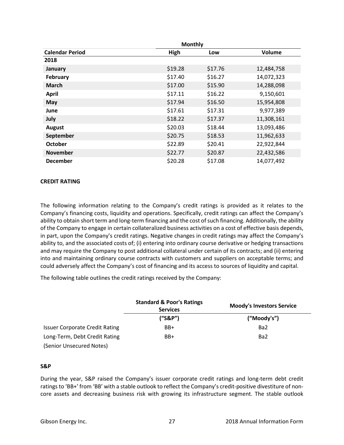|                        | <b>Monthly</b> |         |            |  |
|------------------------|----------------|---------|------------|--|
| <b>Calendar Period</b> | High           | Low     | Volume     |  |
| 2018                   |                |         |            |  |
| January                | \$19.28        | \$17.76 | 12,484,758 |  |
| February               | \$17.40        | \$16.27 | 14,072,323 |  |
| <b>March</b>           | \$17.00        | \$15.90 | 14,288,098 |  |
| <b>April</b>           | \$17.11        | \$16.22 | 9,150,601  |  |
| <b>May</b>             | \$17.94        | \$16.50 | 15,954,808 |  |
| June                   | \$17.61        | \$17.31 | 9,977,389  |  |
| July                   | \$18.22        | \$17.37 | 11,308,161 |  |
| <b>August</b>          | \$20.03        | \$18.44 | 13,093,486 |  |
| September              | \$20.75        | \$18.53 | 11,962,633 |  |
| <b>October</b>         | \$22.89        | \$20.41 | 22,922,844 |  |
| <b>November</b>        | \$22.77        | \$20.87 | 22,432,586 |  |
| <b>December</b>        | \$20.28        | \$17.08 | 14,077,492 |  |

## **CREDIT RATING**

The following information relating to the Company's credit ratings is provided as it relates to the Company's financing costs, liquidity and operations. Specifically, credit ratings can affect the Company's ability to obtain short term and long-term financing and the cost of such financing. Additionally, the ability of the Company to engage in certain collateralized business activities on a cost of effective basis depends, in part, upon the Company's credit ratings. Negative changes in credit ratings may affect the Company's ability to, and the associated costs of; (i) entering into ordinary course derivative or hedging transactions and may require the Company to post additional collateral under certain of its contracts; and (ii) entering into and maintaining ordinary course contracts with customers and suppliers on acceptable terms; and could adversely affect the Company's cost of financing and its access to sources of liquidity and capital.

The following table outlines the credit ratings received by the Company:

|                                       | <b>Standard &amp; Poor's Ratings</b><br><b>Services</b> | <b>Moody's Investors Service</b> |
|---------------------------------------|---------------------------------------------------------|----------------------------------|
|                                       | ("S&P")                                                 | ("Moody's")                      |
| <b>Issuer Corporate Credit Rating</b> | BB+                                                     | Ba <sub>2</sub>                  |
| Long-Term, Debt Credit Rating         | BB+                                                     | Ba <sub>2</sub>                  |
| (Senior Unsecured Notes)              |                                                         |                                  |

## **S&P**

During the year, S&P raised the Company's issuer corporate credit ratings and long-term debt credit ratings to 'BB+' from 'BB' with a stable outlook to reflect the Company's credit-positive divestiture of noncore assets and decreasing business risk with growing its infrastructure segment. The stable outlook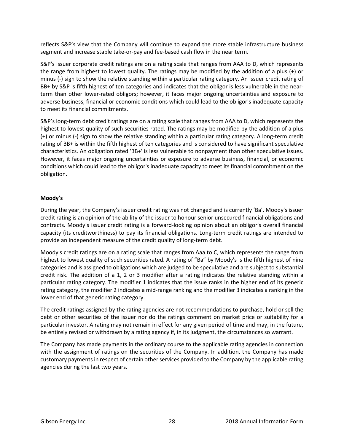reflects S&P's view that the Company will continue to expand the more stable infrastructure business segment and increase stable take-or-pay and fee-based cash flow in the near term.

S&P's issuer corporate credit ratings are on a rating scale that ranges from AAA to D, which represents the range from highest to lowest quality. The ratings may be modified by the addition of a plus (+) or minus (-) sign to show the relative standing within a particular rating category. An issuer credit rating of BB+ by S&P is fifth highest of ten categories and indicates that the obligor is less vulnerable in the nearterm than other lower-rated obligors; however, it faces major ongoing uncertainties and exposure to adverse business, financial or economic conditions which could lead to the obligor's inadequate capacity to meet its financial commitments.

S&P's long-term debt credit ratings are on a rating scale that ranges from AAA to D, which represents the highest to lowest quality of such securities rated. The ratings may be modified by the addition of a plus (+) or minus (-) sign to show the relative standing within a particular rating category. A long-term credit rating of BB+ is within the fifth highest of ten categories and is considered to have significant speculative characteristics. An obligation rated 'BB+' is less vulnerable to nonpayment than other speculative issues. However, it faces major ongoing uncertainties or exposure to adverse business, financial, or economic conditions which could lead to the obligor's inadequate capacity to meet its financial commitment on the obligation.

# **Moody's**

During the year, the Company's issuer credit rating was not changed and is currently 'Ba'. Moody's issuer credit rating is an opinion of the ability of the issuer to honour senior unsecured financial obligations and contracts. Moody's issuer credit rating is a forward-looking opinion about an obligor's overall financial capacity (its creditworthiness) to pay its financial obligations. Long-term credit ratings are intended to provide an independent measure of the credit quality of long-term debt.

Moody's credit ratings are on a rating scale that ranges from Aaa to C, which represents the range from highest to lowest quality of such securities rated. A rating of "Ba" by Moody's is the fifth highest of nine categories and is assigned to obligations which are judged to be speculative and are subject to substantial credit risk. The addition of a 1, 2 or 3 modifier after a rating indicates the relative standing within a particular rating category. The modifier 1 indicates that the issue ranks in the higher end of its generic rating category, the modifier 2 indicates a mid-range ranking and the modifier 3 indicates a ranking in the lower end of that generic rating category.

The credit ratings assigned by the rating agencies are not recommendations to purchase, hold or sell the debt or other securities of the issuer nor do the ratings comment on market price or suitability for a particular investor. A rating may not remain in effect for any given period of time and may, in the future, be entirely revised or withdrawn by a rating agency if, in its judgment, the circumstances so warrant.

The Company has made payments in the ordinary course to the applicable rating agencies in connection with the assignment of ratings on the securities of the Company. In addition, the Company has made customary payments in respect of certain other services provided to the Company by the applicable rating agencies during the last two years.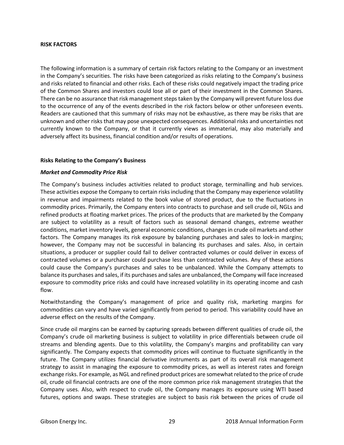## **RISK FACTORS**

The following information is a summary of certain risk factors relating to the Company or an investment in the Company's securities. The risks have been categorized as risks relating to the Company's business and risks related to financial and other risks. Each of these risks could negatively impact the trading price of the Common Shares and investors could lose all or part of their investment in the Common Shares. There can be no assurance that risk management steps taken by the Company will prevent future loss due to the occurrence of any of the events described in the risk factors below or other unforeseen events. Readers are cautioned that this summary of risks may not be exhaustive, as there may be risks that are unknown and other risks that may pose unexpected consequences. Additional risks and uncertainties not currently known to the Company, or that it currently views as immaterial, may also materially and adversely affect its business, financial condition and/or results of operations.

## **Risks Relating to the Company's Business**

#### *Market and Commodity Price Risk*

The Company's business includes activities related to product storage, terminalling and hub services. These activities expose the Company to certain risks including that the Company may experience volatility in revenue and impairments related to the book value of stored product, due to the fluctuations in commodity prices. Primarily, the Company enters into contracts to purchase and sell crude oil, NGLs and refined products at floating market prices. The prices of the products that are marketed by the Company are subject to volatility as a result of factors such as seasonal demand changes, extreme weather conditions, market inventory levels, general economic conditions, changes in crude oil markets and other factors. The Company manages its risk exposure by balancing purchases and sales to lock-in margins; however, the Company may not be successful in balancing its purchases and sales. Also, in certain situations, a producer or supplier could fail to deliver contracted volumes or could deliver in excess of contracted volumes or a purchaser could purchase less than contracted volumes. Any of these actions could cause the Company's purchases and sales to be unbalanced. While the Company attempts to balance its purchases and sales, if its purchases and sales are unbalanced, the Company will face increased exposure to commodity price risks and could have increased volatility in its operating income and cash flow.

Notwithstanding the Company's management of price and quality risk, marketing margins for commodities can vary and have varied significantly from period to period. This variability could have an adverse effect on the results of the Company.

Since crude oil margins can be earned by capturing spreads between different qualities of crude oil, the Company's crude oil marketing business is subject to volatility in price differentials between crude oil streams and blending agents. Due to this volatility, the Company's margins and profitability can vary significantly. The Company expects that commodity prices will continue to fluctuate significantly in the future. The Company utilizes financial derivative instruments as part of its overall risk management strategy to assist in managing the exposure to commodity prices, as well as interest rates and foreign exchange risks. For example, as NGL and refined product prices are somewhat related to the price of crude oil, crude oil financial contracts are one of the more common price risk management strategies that the Company uses. Also, with respect to crude oil, the Company manages its exposure using WTI based futures, options and swaps. These strategies are subject to basis risk between the prices of crude oil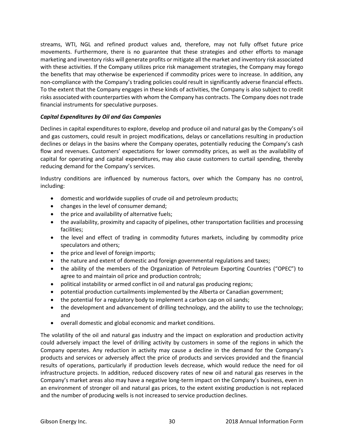streams, WTI, NGL and refined product values and, therefore, may not fully offset future price movements. Furthermore, there is no guarantee that these strategies and other efforts to manage marketing and inventory risks will generate profits or mitigate all the market and inventory risk associated with these activities. If the Company utilizes price risk management strategies, the Company may forego the benefits that may otherwise be experienced if commodity prices were to increase. In addition, any non-compliance with the Company's trading policies could result in significantly adverse financial effects. To the extent that the Company engages in these kinds of activities, the Company is also subject to credit risks associated with counterparties with whom the Company has contracts. The Company does not trade financial instruments for speculative purposes.

## *Capital Expenditures by Oil and Gas Companies*

Declines in capital expenditures to explore, develop and produce oil and natural gas by the Company's oil and gas customers, could result in project modifications, delays or cancellations resulting in production declines or delays in the basins where the Company operates, potentially reducing the Company's cash flow and revenues. Customers' expectations for lower commodity prices, as well as the availability of capital for operating and capital expenditures, may also cause customers to curtail spending, thereby reducing demand for the Company's services.

Industry conditions are influenced by numerous factors, over which the Company has no control, including:

- domestic and worldwide supplies of crude oil and petroleum products;
- changes in the level of consumer demand;
- the price and availability of alternative fuels;
- the availability, proximity and capacity of pipelines, other transportation facilities and processing facilities;
- the level and effect of trading in commodity futures markets, including by commodity price speculators and others;
- the price and level of foreign imports;
- the nature and extent of domestic and foreign governmental regulations and taxes;
- the ability of the members of the Organization of Petroleum Exporting Countries ("OPEC") to agree to and maintain oil price and production controls;
- political instability or armed conflict in oil and natural gas producing regions;
- potential production curtailments implemented by the Alberta or Canadian government;
- the potential for a regulatory body to implement a carbon cap on oil sands;
- the development and advancement of drilling technology, and the ability to use the technology; and
- overall domestic and global economic and market conditions.

The volatility of the oil and natural gas industry and the impact on exploration and production activity could adversely impact the level of drilling activity by customers in some of the regions in which the Company operates. Any reduction in activity may cause a decline in the demand for the Company's products and services or adversely affect the price of products and services provided and the financial results of operations, particularly if production levels decrease, which would reduce the need for oil infrastructure projects. In addition, reduced discovery rates of new oil and natural gas reserves in the Company's market areas also may have a negative long-term impact on the Company's business, even in an environment of stronger oil and natural gas prices, to the extent existing production is not replaced and the number of producing wells is not increased to service production declines.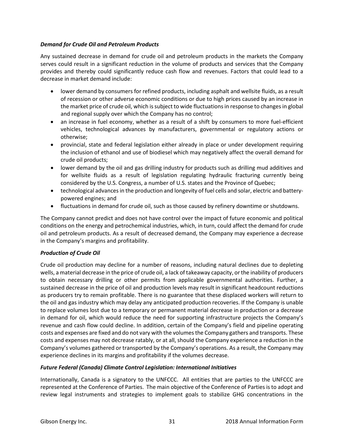# *Demand for Crude Oil and Petroleum Products*

Any sustained decrease in demand for crude oil and petroleum products in the markets the Company serves could result in a significant reduction in the volume of products and services that the Company provides and thereby could significantly reduce cash flow and revenues. Factors that could lead to a decrease in market demand include:

- lower demand by consumers for refined products, including asphalt and wellsite fluids, as a result of recession or other adverse economic conditions or due to high prices caused by an increase in the market price of crude oil, which is subject to wide fluctuations in response to changes in global and regional supply over which the Company has no control;
- an increase in fuel economy, whether as a result of a shift by consumers to more fuel-efficient vehicles, technological advances by manufacturers, governmental or regulatory actions or otherwise;
- provincial, state and federal legislation either already in place or under development requiring the inclusion of ethanol and use of biodiesel which may negatively affect the overall demand for crude oil products;
- lower demand by the oil and gas drilling industry for products such as drilling mud additives and for wellsite fluids as a result of legislation regulating hydraulic fracturing currently being considered by the U.S. Congress, a number of U.S. states and the Province of Quebec;
- technological advances in the production and longevity of fuel cells and solar, electric and batterypowered engines; and
- fluctuations in demand for crude oil, such as those caused by refinery downtime or shutdowns.

The Company cannot predict and does not have control over the impact of future economic and political conditions on the energy and petrochemical industries, which, in turn, could affect the demand for crude oil and petroleum products. As a result of decreased demand, the Company may experience a decrease in the Company's margins and profitability.

# *Production of Crude Oil*

Crude oil production may decline for a number of reasons, including natural declines due to depleting wells, a material decrease in the price of crude oil, a lack of takeaway capacity, or the inability of producers to obtain necessary drilling or other permits from applicable governmental authorities. Further, a sustained decrease in the price of oil and production levels may result in significant headcount reductions as producers try to remain profitable. There is no guarantee that these displaced workers will return to the oil and gas industry which may delay any anticipated production recoveries. If the Company is unable to replace volumes lost due to a temporary or permanent material decrease in production or a decrease in demand for oil, which would reduce the need for supporting infrastructure projects the Company's revenue and cash flow could decline. In addition, certain of the Company's field and pipeline operating costs and expenses are fixed and do not vary with the volumes the Company gathers and transports. These costs and expenses may not decrease ratably, or at all, should the Company experience a reduction in the Company's volumes gathered or transported by the Company's operations. As a result, the Company may experience declines in its margins and profitability if the volumes decrease.

# *Future Federal (Canada) Climate Control Legislation: International Initiatives*

Internationally, Canada is a signatory to the UNFCCC. All entities that are parties to the UNFCCC are represented at the Conference of Parties. The main objective of the Conference of Parties is to adopt and review legal instruments and strategies to implement goals to stabilize GHG concentrations in the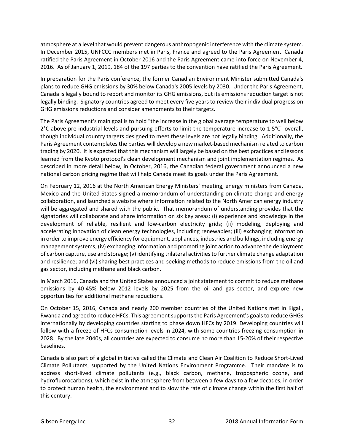atmosphere at a level that would prevent dangerous anthropogenic interference with the climate system. In December 2015, UNFCCC members met in Paris, France and agreed to the Paris Agreement. Canada ratified the Paris Agreement in October 2016 and the Paris Agreement came into force on November 4, 2016. As of January 1, 2019, 184 of the 197 parties to the convention have ratified the Paris Agreement.

In preparation for the Paris conference, the former Canadian Environment Minister submitted Canada's plans to reduce GHG emissions by 30% below Canada's 2005 levels by 2030. Under the Paris Agreement, Canada is legally bound to report and monitor its GHG emissions, but its emissions reduction target is not legally binding. Signatory countries agreed to meet every five years to review their individual progress on GHG emissions reductions and consider amendments to their targets.

The Paris Agreement's main goal is to hold "the increase in the global average temperature to well below 2°C above pre-industrial levels and pursuing efforts to limit the temperature increase to 1.5°C" overall, though individual country targets designed to meet these levels are not legally binding. Additionally, the Paris Agreement contemplates the parties will develop a new market-based mechanism related to carbon trading by 2020. It is expected that this mechanism will largely be based on the best practices and lessons learned from the Kyoto protocol's clean development mechanism and joint implementation regimes. As described in more detail below, in October, 2016, the Canadian federal government announced a new national carbon pricing regime that will help Canada meet its goals under the Paris Agreement.

On February 12, 2016 at the North American Energy Ministers' meeting, energy ministers from Canada, Mexico and the United States signed a memorandum of understanding on climate change and energy collaboration, and launched a website where information related to the North American energy industry will be aggregated and shared with the public. That memorandum of understanding provides that the signatories will collaborate and share information on six key areas: (i) experience and knowledge in the development of reliable, resilient and low-carbon electricity grids; (ii) modeling, deploying and accelerating innovation of clean energy technologies, including renewables; (iii) exchanging information in order to improve energy efficiency for equipment, appliances, industries and buildings, including energy management systems; (iv) exchanging information and promoting joint action to advance the deployment of carbon capture, use and storage; (v) identifying trilateral activities to further climate change adaptation and resilience; and (vi) sharing best practices and seeking methods to reduce emissions from the oil and gas sector, including methane and black carbon.

In March 2016, Canada and the United States announced a joint statement to commit to reduce methane emissions by 40-45% below 2012 levels by 2025 from the oil and gas sector, and explore new opportunities for additional methane reductions.

On October 15, 2016, Canada and nearly 200 member countries of the United Nations met in Kigali, Rwanda and agreed to reduce HFCs. This agreement supports the Paris Agreement's goals to reduce GHGs internationally by developing countries starting to phase down HFCs by 2019. Developing countries will follow with a freeze of HFCs consumption levels in 2024, with some countries freezing consumption in 2028. By the late 2040s, all countries are expected to consume no more than 15-20% of their respective baselines.

Canada is also part of a global initiative called the Climate and Clean Air Coalition to Reduce Short-Lived Climate Pollutants, supported by the United Nations Environment Programme. Their mandate is to address short-lived climate pollutants (e.g., black carbon, methane, tropospheric ozone, and hydrofluorocarbons), which exist in the atmosphere from between a few days to a few decades, in order to protect human health, the environment and to slow the rate of climate change within the first half of this century.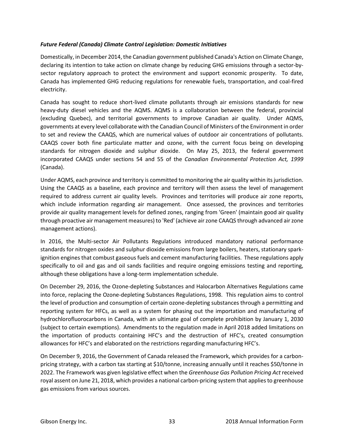# *Future Federal (Canada) Climate Control Legislation: Domestic Initiatives*

Domestically, in December 2014, the Canadian government published Canada's Action on Climate Change, declaring its intention to take action on climate change by reducing GHG emissions through a sector-bysector regulatory approach to protect the environment and support economic prosperity. To date, Canada has implemented GHG reducing regulations for renewable fuels, transportation, and coal-fired electricity.

Canada has sought to reduce short-lived climate pollutants through air emissions standards for new heavy-duty diesel vehicles and the AQMS. AQMS is a collaboration between the federal, provincial (excluding Quebec), and territorial governments to improve Canadian air quality. Under AQMS, governments at every level collaborate with the Canadian Council of Ministers of the Environment in order to set and review the CAAQS, which are numerical values of outdoor air concentrations of pollutants. CAAQS cover both fine particulate matter and ozone, with the current focus being on developing standards for nitrogen dioxide and sulphur dioxide. On May 25, 2013, the federal government incorporated CAAQS under sections 54 and 55 of the *Canadian Environmental Protection Act, 1999* (Canada).

Under AQMS, each province and territory is committed to monitoring the air quality within its jurisdiction. Using the CAAQS as a baseline, each province and territory will then assess the level of management required to address current air quality levels. Provinces and territories will produce air zone reports, which include information regarding air management. Once assessed, the provinces and territories provide air quality management levels for defined zones, ranging from 'Green' (maintain good air quality through proactive air management measures) to 'Red' (achieve air zone CAAQS through advanced air zone management actions).

In 2016, the Multi-sector Air Pollutants Regulations introduced mandatory national performance standards for nitrogen oxides and sulphur dioxide emissions from large boilers, heaters, stationary sparkignition engines that combust gaseous fuels and cement manufacturing facilities. These regulations apply specifically to oil and gas and oil sands facilities and require ongoing emissions testing and reporting, although these obligations have a long-term implementation schedule.

On December 29, 2016, the Ozone-depleting Substances and Halocarbon Alternatives Regulations came into force, replacing the Ozone-depleting Substances Regulations, 1998. This regulation aims to control the level of production and consumption of certain ozone-depleting substances through a permitting and reporting system for HFCs, as well as a system for phasing out the importation and manufacturing of hydrochlorofluorocarbons in Canada, with an ultimate goal of complete prohibition by January 1, 2030 (subject to certain exemptions). Amendments to the regulation made in April 2018 added limitations on the importation of products containing HFC's and the destruction of HFC's, created consumption allowances for HFC's and elaborated on the restrictions regarding manufacturing HFC's.

On December 9, 2016, the Government of Canada released the Framework, which provides for a carbonpricing strategy, with a carbon tax starting at \$10/tonne, increasing annually until it reaches \$50/tonne in 2022. The Framework was given legislative effect when the *Greenhouse Gas Pollution Pricing Act* received royal assent on June 21, 2018, which provides a national carbon-pricing system that applies to greenhouse gas emissions from various sources.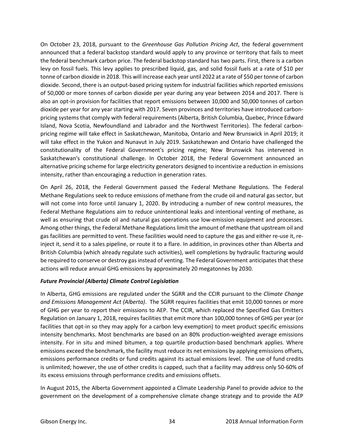On October 23, 2018, pursuant to the *Greenhouse Gas Pollution Pricing Act*, the federal government announced that a federal backstop standard would apply to any province or territory that fails to meet the federal benchmark carbon price. The federal backstop standard has two parts. First, there is a carbon levy on fossil fuels. This levy applies to prescribed liquid, gas, and solid fossil fuels at a rate of \$10 per tonne of carbon dioxide in 2018. This will increase each year until 2022 at a rate of \$50 per tonne of carbon dioxide. Second, there is an output-based pricing system for industrial facilities which reported emissions of 50,000 or more tonnes of carbon dioxide per year during any year between 2014 and 2017. There is also an opt-in provision for facilities that report emissions between 10,000 and 50,000 tonnes of carbon dioxide per year for any year starting with 2017. Seven provinces and territories have introduced carbonpricing systems that comply with federal requirements (Alberta, British Columbia, Quebec, Prince Edward Island, Nova Scotia, Newfoundland and Labrador and the Northwest Territories). The federal carbonpricing regime will take effect in Saskatchewan, Manitoba, Ontario and New Brunswick in April 2019; it will take effect in the Yukon and Nunavut in July 2019. Saskatchewan and Ontario have challenged the constitutionality of the Federal Government's pricing regime; New Brunswick has intervened in Saskatchewan's constitutional challenge. In October 2018, the Federal Government announced an alternative pricing scheme for large electricity generators designed to incentivize a reduction in emissions intensity, rather than encouraging a reduction in generation rates.

On April 26, 2018, the Federal Government passed the Federal Methane Regulations. The Federal Methane Regulations seek to reduce emissions of methane from the crude oil and natural gas sector, but will not come into force until January 1, 2020. By introducing a number of new control measures, the Federal Methane Regulations aim to reduce unintentional leaks and intentional venting of methane, as well as ensuring that crude oil and natural gas operations use low-emission equipment and processes. Among other things, the Federal Methane Regulations limit the amount of methane that upstream oil and gas facilities are permitted to vent. These facilities would need to capture the gas and either re-use it, reinject it, send it to a sales pipeline, or route it to a flare. In addition, in provinces other than Alberta and British Columbia (which already regulate such activities), well completions by hydraulic fracturing would be required to conserve or destroy gas instead of venting. The Federal Government anticipates that these actions will reduce annual GHG emissions by approximately 20 megatonnes by 2030.

# *Future Provincial (Alberta) Climate Control Legislation*

In Alberta, GHG emissions are regulated under the SGRR and the CCIR pursuant to the *Climate Change and Emissions Management Act (Alberta)*. The SGRR requires facilities that emit 10,000 tonnes or more of GHG per year to report their emissions to AEP. The CCIR, which replaced the Specified Gas Emitters Regulation on January 1, 2018, requires facilities that emit more than 100,000 tonnes of GHG per year (or facilities that opt-in so they may apply for a carbon levy exemption) to meet product specific emissions intensity benchmarks. Most benchmarks are based on an 80% production-weighted average emissions intensity. For in situ and mined bitumen, a top quartile production-based benchmark applies. Where emissions exceed the benchmark, the facility must reduce its net emissions by applying emissions offsets, emissions performance credits or fund credits against its actual emissions level. The use of fund credits is unlimited; however, the use of other credits is capped, such that a facility may address only 50-60% of its excess emissions through performance credits and emissions offsets.

In August 2015, the Alberta Government appointed a Climate Leadership Panel to provide advice to the government on the development of a comprehensive climate change strategy and to provide the AEP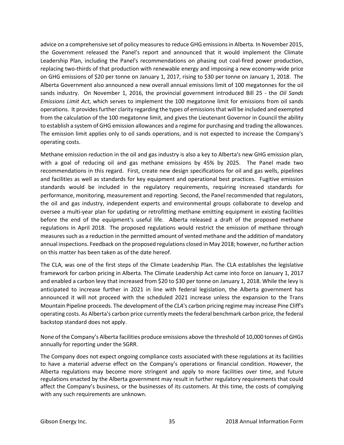advice on a comprehensive set of policy measures to reduce GHG emissions in Alberta. In November 2015, the Government released the Panel's report and announced that it would implement the Climate Leadership Plan, including the Panel's recommendations on phasing out coal-fired power production, replacing two-thirds of that production with renewable energy and imposing a new economy-wide price on GHG emissions of \$20 per tonne on January 1, 2017, rising to \$30 per tonne on January 1, 2018. The Alberta Government also announced a new overall annual emissions limit of 100 megatonnes for the oil sands industry. On November 1, 2016, the provincial government introduced Bill 25 - the *Oil Sands Emissions Limit Act*, which serves to implement the 100 megatonne limit for emissions from oil sands operations. It provides further clarity regarding the types of emissions that will be included and exempted from the calculation of the 100 megatonne limit, and gives the Lieutenant Governor in Council the ability to establish a system of GHG emission allowances and a regime for purchasing and trading the allowances. The emission limit applies only to oil sands operations, and is not expected to increase the Company's operating costs.

Methane emission reduction in the oil and gas industry is also a key to Alberta's new GHG emission plan, with a goal of reducing oil and gas methane emissions by 45% by 2025. The Panel made two recommendations in this regard. First, create new design specifications for oil and gas wells, pipelines and facilities as well as standards for key equipment and operational best practices. Fugitive emission standards would be included in the regulatory requirements, requiring increased standards for performance, monitoring, measurement and reporting. Second, the Panel recommended that regulators, the oil and gas industry, independent experts and environmental groups collaborate to develop and oversee a multi-year plan for updating or retrofitting methane emitting equipment in existing facilities before the end of the equipment's useful life. Alberta released a draft of the proposed methane regulations in April 2018. The proposed regulations would restrict the emission of methane through measures such as a reduction in the permitted amount of vented methane and the addition of mandatory annual inspections. Feedback on the proposed regulations closed in May 2018; however, no further action on this matter has been taken as of the date hereof.

The CLA, was one of the first steps of the Climate Leadership Plan. The CLA establishes the legislative framework for carbon pricing in Alberta. The Climate Leadership Act came into force on January 1, 2017 and enabled a carbon levy that increased from \$20 to \$30 per tonne on January 1, 2018. While the levy is anticipated to increase further in 2021 in line with federal legislation, the Alberta government has announced it will not proceed with the scheduled 2021 increase unless the expansion to the Trans Mountain Pipeline proceeds. The development of the *CLA*'s carbon pricing regime may increase Pine Cliff's operating costs. As Alberta's carbon price currently meets the federal benchmark carbon price, the federal backstop standard does not apply.

None of the Company's Alberta facilities produce emissions above the threshold of 10,000 tonnes of GHGs annually for reporting under the SGRR.

The Company does not expect ongoing compliance costs associated with these regulations at its facilities to have a material adverse effect on the Company's operations or financial condition. However, the Alberta regulations may become more stringent and apply to more facilities over time, and future regulations enacted by the Alberta government may result in further regulatory requirements that could affect the Company's business, or the businesses of its customers. At this time, the costs of complying with any such requirements are unknown.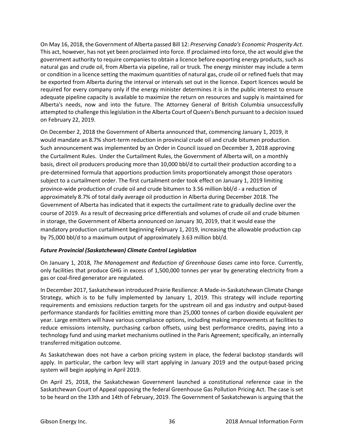On May 16, 2018, the Government of Alberta passed Bill 12: *Preserving Canada's Economic Prosperity Act*. This act, however, has not yet been proclaimed into force. If proclaimed into force, the act would give the government authority to require companies to obtain a licence before exporting energy products, such as natural gas and crude oil, from Alberta via pipeline, rail or truck. The energy minister may include a term or condition in a licence setting the maximum quantities of natural gas, crude oil or refined fuels that may be exported from Alberta during the interval or intervals set out in the licence. Export licences would be required for every company only if the energy minister determines it is in the public interest to ensure adequate pipeline capacity is available to maximize the return on resources and supply is maintained for Alberta's needs, now and into the future. The Attorney General of British Columbia unsuccessfully attempted to challenge this legislation in the Alberta Court of Queen's Bench pursuant to a decision issued on February 22, 2019.

On December 2, 2018 the Government of Alberta announced that, commencing January 1, 2019, it would mandate an 8.7% short-term reduction in provincial crude oil and crude bitumen production. Such announcement was implemented by an Order in Council issued on December 3, 2018 approving the Curtailment Rules. Under the Curtailment Rules, the Government of Alberta will, on a monthly basis, direct oil producers producing more than 10,000 bbl/d to curtail their production according to a pre-determined formula that apportions production limits proportionately amongst those operators subject to a curtailment order. The first curtailment order took effect on January 1, 2019 limiting province-wide production of crude oil and crude bitumen to 3.56 million bbl/d - a reduction of approximately 8.7% of total daily average oil production in Alberta during December 2018. The Government of Alberta has indicated that it expects the curtailment rate to gradually decline over the course of 2019. As a result of decreasing price differentials and volumes of crude oil and crude bitumen in storage, the Government of Alberta announced on January 30, 2019, that it would ease the mandatory production curtailment beginning February 1, 2019, increasing the allowable production cap by 75,000 bbl/d to a maximum output of approximately 3.63 million bbl/d.

# *Future Provincial (Saskatchewan) Climate Control Legislation*

On January 1, 2018, *The Management and Reduction of Greenhouse Gases* came into force. Currently, only facilities that produce GHG in excess of 1,500,000 tonnes per year by generating electricity from a gas or coal-fired generator are regulated.

In December 2017, Saskatchewan introduced Prairie Resilience: A Made-in-Saskatchewan Climate Change Strategy, which is to be fully implemented by January 1, 2019. This strategy will include reporting requirements and emissions reduction targets for the upstream oil and gas industry and output-based performance standards for facilities emitting more than 25,000 tonnes of carbon dioxide equivalent per year. Large emitters will have various compliance options, including making improvements at facilities to reduce emissions intensity, purchasing carbon offsets, using best performance credits, paying into a technology fund and using market mechanisms outlined in the Paris Agreement; specifically, an internally transferred mitigation outcome.

As Saskatchewan does not have a carbon pricing system in place, the federal backstop standards will apply. In particular, the carbon levy will start applying in January 2019 and the output-based pricing system will begin applying in April 2019.

On April 25, 2018, the Saskatchewan Government launched a constitutional reference case in the Saskatchewan Court of Appeal opposing the federal Greenhouse Gas Pollution Pricing Act. The case is set to be heard on the 13th and 14th of February, 2019. The Government of Saskatchewan is arguing that the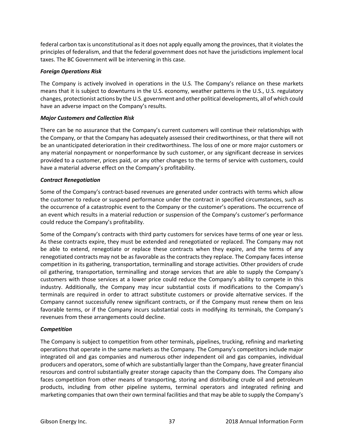federal carbon tax is unconstitutional as it does not apply equally among the provinces, that it violates the principles of federalism, and that the federal government does not have the jurisdictions implement local taxes. The BC Government will be intervening in this case.

## *Foreign Operations Risk*

The Company is actively involved in operations in the U.S. The Company's reliance on these markets means that it is subject to downturns in the U.S. economy, weather patterns in the U.S., U.S. regulatory changes, protectionist actions by the U.S. government and other political developments, all of which could have an adverse impact on the Company's results.

# *Major Customers and Collection Risk*

There can be no assurance that the Company's current customers will continue their relationships with the Company, or that the Company has adequately assessed their creditworthiness, or that there will not be an unanticipated deterioration in their creditworthiness. The loss of one or more major customers or any material nonpayment or nonperformance by such customer, or any significant decrease in services provided to a customer, prices paid, or any other changes to the terms of service with customers, could have a material adverse effect on the Company's profitability.

# *Contract Renegotiation*

Some of the Company's contract-based revenues are generated under contracts with terms which allow the customer to reduce or suspend performance under the contract in specified circumstances, such as the occurrence of a catastrophic event to the Company or the customer's operations. The occurrence of an event which results in a material reduction or suspension of the Company's customer's performance could reduce the Company's profitability.

Some of the Company's contracts with third party customers for services have terms of one year or less. As these contracts expire, they must be extended and renegotiated or replaced. The Company may not be able to extend, renegotiate or replace these contracts when they expire, and the terms of any renegotiated contracts may not be as favorable as the contracts they replace. The Company faces intense competition in its gathering, transportation, terminalling and storage activities. Other providers of crude oil gathering, transportation, terminalling and storage services that are able to supply the Company's customers with those services at a lower price could reduce the Company's ability to compete in this industry. Additionally, the Company may incur substantial costs if modifications to the Company's terminals are required in order to attract substitute customers or provide alternative services. If the Company cannot successfully renew significant contracts, or if the Company must renew them on less favorable terms, or if the Company incurs substantial costs in modifying its terminals, the Company's revenues from these arrangements could decline.

# *Competition*

The Company is subject to competition from other terminals, pipelines, trucking, refining and marketing operations that operate in the same markets as the Company. The Company's competitors include major integrated oil and gas companies and numerous other independent oil and gas companies, individual producers and operators, some of which are substantially larger than the Company, have greater financial resources and control substantially greater storage capacity than the Company does. The Company also faces competition from other means of transporting, storing and distributing crude oil and petroleum products, including from other pipeline systems, terminal operators and integrated refining and marketing companies that own their own terminal facilities and that may be able to supply the Company's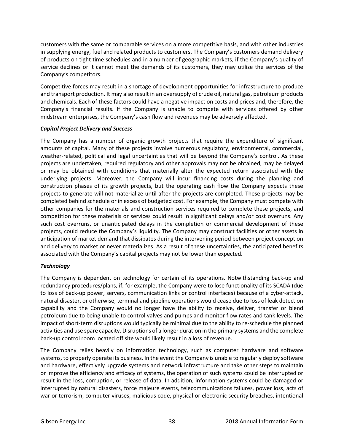customers with the same or comparable services on a more competitive basis, and with other industries in supplying energy, fuel and related products to customers. The Company's customers demand delivery of products on tight time schedules and in a number of geographic markets, if the Company's quality of service declines or it cannot meet the demands of its customers, they may utilize the services of the Company's competitors.

Competitive forces may result in a shortage of development opportunities for infrastructure to produce and transport production. It may also result in an oversupply of crude oil, natural gas, petroleum products and chemicals. Each of these factors could have a negative impact on costs and prices and, therefore, the Company's financial results. If the Company is unable to compete with services offered by other midstream enterprises, the Company's cash flow and revenues may be adversely affected.

## *Capital Project Delivery and Success*

The Company has a number of organic growth projects that require the expenditure of significant amounts of capital. Many of these projects involve numerous regulatory, environmental, commercial, weather-related, political and legal uncertainties that will be beyond the Company's control. As these projects are undertaken, required regulatory and other approvals may not be obtained, may be delayed or may be obtained with conditions that materially alter the expected return associated with the underlying projects. Moreover, the Company will incur financing costs during the planning and construction phases of its growth projects, but the operating cash flow the Company expects these projects to generate will not materialize until after the projects are completed. These projects may be completed behind schedule or in excess of budgeted cost. For example, the Company must compete with other companies for the materials and construction services required to complete these projects, and competition for these materials or services could result in significant delays and/or cost overruns. Any such cost overruns, or unanticipated delays in the completion or commercial development of these projects, could reduce the Company's liquidity. The Company may construct facilities or other assets in anticipation of market demand that dissipates during the intervening period between project conception and delivery to market or never materializes. As a result of these uncertainties, the anticipated benefits associated with the Company's capital projects may not be lower than expected.

# *Technology*

The Company is dependent on technology for certain of its operations. Notwithstanding back-up and redundancy procedures/plans, if, for example, the Company were to lose functionality of its SCADA (due to loss of back-up power, servers, communication links or control interfaces) because of a cyber-attack, natural disaster, or otherwise, terminal and pipeline operations would cease due to loss of leak detection capability and the Company would no longer have the ability to receive, deliver, transfer or blend petroleum due to being unable to control valves and pumps and monitor flow rates and tank levels. The impact of short-term disruptions would typically be minimal due to the ability to re-schedule the planned activities and use spare capacity. Disruptions of a longer duration in the primary systems and the complete back-up control room located off site would likely result in a loss of revenue.

The Company relies heavily on information technology, such as computer hardware and software systems, to properly operate its business. In the event the Company is unable to regularly deploy software and hardware, effectively upgrade systems and network infrastructure and take other steps to maintain or improve the efficiency and efficacy of systems, the operation of such systems could be interrupted or result in the loss, corruption, or release of data. In addition, information systems could be damaged or interrupted by natural disasters, force majeure events, telecommunications failures, power loss, acts of war or terrorism, computer viruses, malicious code, physical or electronic security breaches, intentional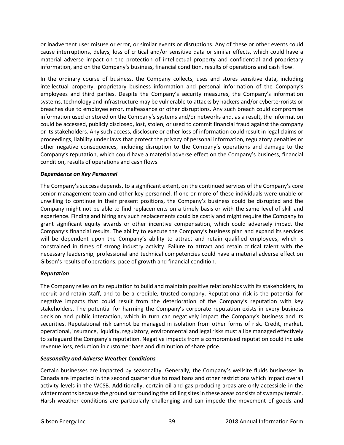or inadvertent user misuse or error, or similar events or disruptions. Any of these or other events could cause interruptions, delays, loss of critical and/or sensitive data or similar effects, which could have a material adverse impact on the protection of intellectual property and confidential and proprietary information, and on the Company's business, financial condition, results of operations and cash flow.

In the ordinary course of business, the Company collects, uses and stores sensitive data, including intellectual property, proprietary business information and personal information of the Company's employees and third parties. Despite the Company's security measures, the Company's information systems, technology and infrastructure may be vulnerable to attacks by hackers and/or cyberterrorists or breaches due to employee error, malfeasance or other disruptions. Any such breach could compromise information used or stored on the Company's systems and/or networks and, as a result, the information could be accessed, publicly disclosed, lost, stolen, or used to commit financial fraud against the company or its stakeholders. Any such access, disclosure or other loss of information could result in legal claims or proceedings, liability under laws that protect the privacy of personal information, regulatory penalties or other negative consequences, including disruption to the Company's operations and damage to the Company's reputation, which could have a material adverse effect on the Company's business, financial condition, results of operations and cash flows.

# *Dependence on Key Personnel*

The Company's success depends, to a significant extent, on the continued services of the Company's core senior management team and other key personnel. If one or more of these individuals were unable or unwilling to continue in their present positions, the Company's business could be disrupted and the Company might not be able to find replacements on a timely basis or with the same level of skill and experience. Finding and hiring any such replacements could be costly and might require the Company to grant significant equity awards or other incentive compensation, which could adversely impact the Company's financial results. The ability to execute the Company's business plan and expand its services will be dependent upon the Company's ability to attract and retain qualified employees, which is constrained in times of strong industry activity. Failure to attract and retain critical talent with the necessary leadership, professional and technical competencies could have a material adverse effect on Gibson's results of operations, pace of growth and financial condition.

## *Reputation*

The Company relies on its reputation to build and maintain positive relationships with its stakeholders, to recruit and retain staff, and to be a credible, trusted company. Reputational risk is the potential for negative impacts that could result from the deterioration of the Company's reputation with key stakeholders. The potential for harming the Company's corporate reputation exists in every business decision and public interaction, which in turn can negatively impact the Company's business and its securities. Reputational risk cannot be managed in isolation from other forms of risk. Credit, market, operational, insurance, liquidity, regulatory, environmental and legal risks must all be managed effectively to safeguard the Company's reputation. Negative impacts from a compromised reputation could include revenue loss, reduction in customer base and diminution of share price.

## *Seasonality and Adverse Weather Conditions*

Certain businesses are impacted by seasonality. Generally, the Company's wellsite fluids businesses in Canada are impacted in the second quarter due to road bans and other restrictions which impact overall activity levels in the WCSB. Additionally, certain oil and gas producing areas are only accessible in the winter months because the ground surrounding the drilling sites in these areas consists of swampy terrain. Harsh weather conditions are particularly challenging and can impede the movement of goods and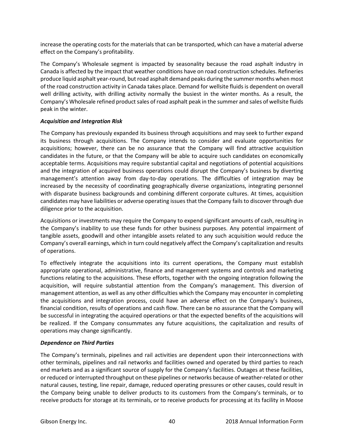increase the operating costs for the materials that can be transported, which can have a material adverse effect on the Company's profitability.

The Company's Wholesale segment is impacted by seasonality because the road asphalt industry in Canada is affected by the impact that weather conditions have on road construction schedules. Refineries produce liquid asphalt year-round, but road asphalt demand peaks during the summer months when most of the road construction activity in Canada takes place. Demand for wellsite fluids is dependent on overall well drilling activity, with drilling activity normally the busiest in the winter months. As a result, the Company's Wholesale refined product sales of road asphalt peak in the summer and sales of wellsite fluids peak in the winter.

## *Acquisition and Integration Risk*

The Company has previously expanded its business through acquisitions and may seek to further expand its business through acquisitions. The Company intends to consider and evaluate opportunities for acquisitions; however, there can be no assurance that the Company will find attractive acquisition candidates in the future, or that the Company will be able to acquire such candidates on economically acceptable terms. Acquisitions may require substantial capital and negotiations of potential acquisitions and the integration of acquired business operations could disrupt the Company's business by diverting management's attention away from day-to-day operations. The difficulties of integration may be increased by the necessity of coordinating geographically diverse organizations, integrating personnel with disparate business backgrounds and combining different corporate cultures. At times, acquisition candidates may have liabilities or adverse operating issues that the Company fails to discover through due diligence prior to the acquisition.

Acquisitions or investments may require the Company to expend significant amounts of cash, resulting in the Company's inability to use these funds for other business purposes. Any potential impairment of tangible assets, goodwill and other intangible assets related to any such acquisition would reduce the Company's overall earnings, which in turn could negatively affect the Company's capitalization and results of operations.

To effectively integrate the acquisitions into its current operations, the Company must establish appropriate operational, administrative, finance and management systems and controls and marketing functions relating to the acquisitions. These efforts, together with the ongoing integration following the acquisition, will require substantial attention from the Company's management. This diversion of management attention, as well as any other difficulties which the Company may encounter in completing the acquisitions and integration process, could have an adverse effect on the Company's business, financial condition, results of operations and cash flow. There can be no assurance that the Company will be successful in integrating the acquired operations or that the expected benefits of the acquisitions will be realized. If the Company consummates any future acquisitions, the capitalization and results of operations may change significantly.

## *Dependence on Third Parties*

The Company's terminals, pipelines and rail activities are dependent upon their interconnections with other terminals, pipelines and rail networks and facilities owned and operated by third parties to reach end markets and as a significant source of supply for the Company's facilities. Outages at these facilities, or reduced or interrupted throughput on these pipelines or networks because of weather-related or other natural causes, testing, line repair, damage, reduced operating pressures or other causes, could result in the Company being unable to deliver products to its customers from the Company's terminals, or to receive products for storage at its terminals, or to receive products for processing at its facility in Moose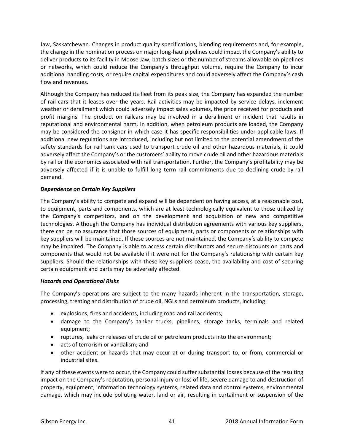Jaw, Saskatchewan. Changes in product quality specifications, blending requirements and, for example, the change in the nomination process on major long-haul pipelines could impact the Company's ability to deliver products to its facility in Moose Jaw, batch sizes or the number of streams allowable on pipelines or networks, which could reduce the Company's throughput volume, require the Company to incur additional handling costs, or require capital expenditures and could adversely affect the Company's cash flow and revenues.

Although the Company has reduced its fleet from its peak size, the Company has expanded the number of rail cars that it leases over the years. Rail activities may be impacted by service delays, inclement weather or derailment which could adversely impact sales volumes, the price received for products and profit margins. The product on railcars may be involved in a derailment or incident that results in reputational and environmental harm. In addition, when petroleum products are loaded, the Company may be considered the consignor in which case it has specific responsibilities under applicable laws. If additional new regulations are introduced, including but not limited to the potential amendment of the safety standards for rail tank cars used to transport crude oil and other hazardous materials, it could adversely affect the Company's or the customers' ability to move crude oil and other hazardous materials by rail or the economics associated with rail transportation. Further, the Company's profitability may be adversely affected if it is unable to fulfill long term rail commitments due to declining crude-by-rail demand.

# *Dependence on Certain Key Suppliers*

The Company's ability to compete and expand will be dependent on having access, at a reasonable cost, to equipment, parts and components, which are at least technologically equivalent to those utilized by the Company's competitors, and on the development and acquisition of new and competitive technologies. Although the Company has individual distribution agreements with various key suppliers, there can be no assurance that those sources of equipment, parts or components or relationships with key suppliers will be maintained. If these sources are not maintained, the Company's ability to compete may be impaired. The Company is able to access certain distributors and secure discounts on parts and components that would not be available if it were not for the Company's relationship with certain key suppliers. Should the relationships with these key suppliers cease, the availability and cost of securing certain equipment and parts may be adversely affected.

## *Hazards and Operational Risks*

The Company's operations are subject to the many hazards inherent in the transportation, storage, processing, treating and distribution of crude oil, NGLs and petroleum products, including:

- explosions, fires and accidents, including road and rail accidents;
- damage to the Company's tanker trucks, pipelines, storage tanks, terminals and related equipment;
- ruptures, leaks or releases of crude oil or petroleum products into the environment;
- acts of terrorism or vandalism; and
- other accident or hazards that may occur at or during transport to, or from, commercial or industrial sites.

If any of these events were to occur, the Company could suffer substantial losses because of the resulting impact on the Company's reputation, personal injury or loss of life, severe damage to and destruction of property, equipment, information technology systems, related data and control systems, environmental damage, which may include polluting water, land or air, resulting in curtailment or suspension of the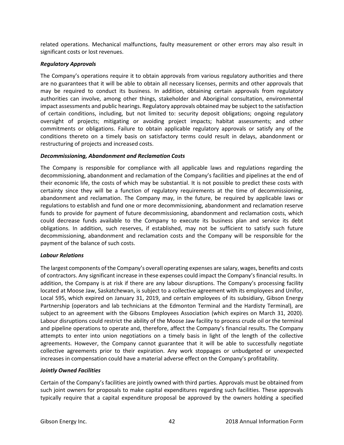related operations. Mechanical malfunctions, faulty measurement or other errors may also result in significant costs or lost revenues.

## *Regulatory Approvals*

The Company's operations require it to obtain approvals from various regulatory authorities and there are no guarantees that it will be able to obtain all necessary licenses, permits and other approvals that may be required to conduct its business. In addition, obtaining certain approvals from regulatory authorities can involve, among other things, stakeholder and Aboriginal consultation, environmental impact assessments and public hearings. Regulatory approvals obtained may be subject to the satisfaction of certain conditions, including, but not limited to: security deposit obligations; ongoing regulatory oversight of projects; mitigating or avoiding project impacts; habitat assessments; and other commitments or obligations. Failure to obtain applicable regulatory approvals or satisfy any of the conditions thereto on a timely basis on satisfactory terms could result in delays, abandonment or restructuring of projects and increased costs.

## *Decommissioning, Abandonment and Reclamation Costs*

The Company is responsible for compliance with all applicable laws and regulations regarding the decommissioning, abandonment and reclamation of the Company's facilities and pipelines at the end of their economic life, the costs of which may be substantial. It is not possible to predict these costs with certainty since they will be a function of regulatory requirements at the time of decommissioning, abandonment and reclamation. The Company may, in the future, be required by applicable laws or regulations to establish and fund one or more decommissioning, abandonment and reclamation reserve funds to provide for payment of future decommissioning, abandonment and reclamation costs, which could decrease funds available to the Company to execute its business plan and service its debt obligations. In addition, such reserves, if established, may not be sufficient to satisfy such future decommissioning, abandonment and reclamation costs and the Company will be responsible for the payment of the balance of such costs.

## *Labour Relations*

The largest components of the Company's overall operating expenses are salary, wages, benefits and costs of contractors. Any significant increase in these expenses could impact the Company's financial results. In addition, the Company is at risk if there are any labour disruptions. The Company's processing facility located at Moose Jaw, Saskatchewan, is subject to a collective agreement with its employees and Unifor, Local 595, which expired on January 31, 2019, and certain employees of its subsidiary, Gibson Energy Partnership (operators and lab technicians at the Edmonton Terminal and the Hardisty Terminal), are subject to an agreement with the Gibsons Employees Association (which expires on March 31, 2020). Labour disruptions could restrict the ability of the Moose Jaw facility to process crude oil or the terminal and pipeline operations to operate and, therefore, affect the Company's financial results. The Company attempts to enter into union negotiations on a timely basis in light of the length of the collective agreements. However, the Company cannot guarantee that it will be able to successfully negotiate collective agreements prior to their expiration. Any work stoppages or unbudgeted or unexpected increases in compensation could have a material adverse effect on the Company's profitability.

## *Jointly Owned Facilities*

Certain of the Company's facilities are jointly owned with third parties. Approvals must be obtained from such joint owners for proposals to make capital expenditures regarding such facilities. These approvals typically require that a capital expenditure proposal be approved by the owners holding a specified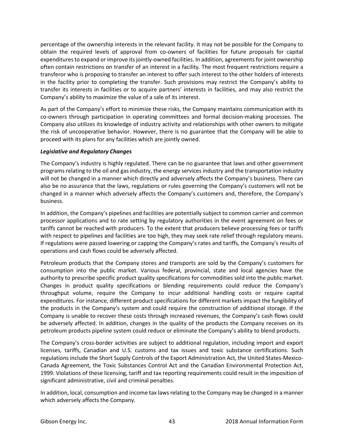percentage of the ownership interests in the relevant facility. It may not be possible for the Company to obtain the required levels of approval from co-owners of facilities for future proposals for capital expenditures to expand or improve its jointly-owned facilities. In addition, agreements for joint ownership often contain restrictions on transfer of an interest in a facility. The most frequent restrictions require a transferor who is proposing to transfer an interest to offer such interest to the other holders of interests in the facility prior to completing the transfer. Such provisions may restrict the Company's ability to transfer its interests in facilities or to acquire partners' interests in facilities, and may also restrict the Company's ability to maximize the value of a sale of its interest.

As part of the Company's effort to minimize these risks, the Company maintains communication with its co-owners through participation in operating committees and formal decision-making processes. The Company also utilizes its knowledge of industry activity and relationships with other owners to mitigate the risk of uncooperative behavior. However, there is no guarantee that the Company will be able to proceed with its plans for any facilities which are jointly owned.

## *Legislative and Regulatory Changes*

The Company's industry is highly regulated. There can be no guarantee that laws and other government programs relating to the oil and gas industry, the energy services industry and the transportation industry will not be changed in a manner which directly and adversely affects the Company's business. There can also be no assurance that the laws, regulations or rules governing the Company's customers will not be changed in a manner which adversely affects the Company's customers and, therefore, the Company's business.

In addition, the Company's pipelines and facilities are potentially subject to common carrier and common processor applications and to rate setting by regulatory authorities in the event agreement on fees or tariffs cannot be reached with producers. To the extent that producers believe processing fees or tariffs with respect to pipelines and facilities are too high, they may seek rate relief through regulatory means. If regulations were passed lowering or capping the Company's rates and tariffs, the Company's results of operations and cash flows could be adversely affected.

Petroleum products that the Company stores and transports are sold by the Company's customers for consumption into the public market. Various federal, provincial, state and local agencies have the authority to prescribe specific product quality specifications for commodities sold into the public market. Changes in product quality specifications or blending requirements could reduce the Company's throughput volume, require the Company to incur additional handling costs or require capital expenditures. For instance, different product specifications for different markets impact the fungibility of the products in the Company's system and could require the construction of additional storage. If the Company is unable to recover these costs through increased revenues, the Company's cash flows could be adversely affected. In addition, changes in the quality of the products the Company receives on its petroleum products pipeline system could reduce or eliminate the Company's ability to blend products.

The Company's cross-border activities are subject to additional regulation, including import and export licenses, tariffs, Canadian and U.S. customs and tax issues and toxic substance certifications. Such regulations include the Short Supply Controls of the Export Administration Act, the United States-Mexico-Canada Agreement, the Toxic Substances Control Act and the Canadian Environmental Protection Act, 1999. Violations of these licensing, tariff and tax reporting requirements could result in the imposition of significant administrative, civil and criminal penalties.

In addition, local, consumption and income tax laws relating to the Company may be changed in a manner which adversely affects the Company.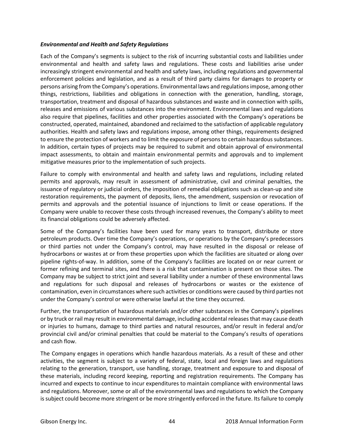## *Environmental and Health and Safety Regulations*

Each of the Company's segments is subject to the risk of incurring substantial costs and liabilities under environmental and health and safety laws and regulations. These costs and liabilities arise under increasingly stringent environmental and health and safety laws, including regulations and governmental enforcement policies and legislation, and as a result of third party claims for damages to property or persons arising from the Company's operations. Environmental laws and regulations impose, among other things, restrictions, liabilities and obligations in connection with the generation, handling, storage, transportation, treatment and disposal of hazardous substances and waste and in connection with spills, releases and emissions of various substances into the environment. Environmental laws and regulations also require that pipelines, facilities and other properties associated with the Company's operations be constructed, operated, maintained, abandoned and reclaimed to the satisfaction of applicable regulatory authorities. Health and safety laws and regulations impose, among other things, requirements designed to ensure the protection of workers and to limit the exposure of persons to certain hazardous substances. In addition, certain types of projects may be required to submit and obtain approval of environmental impact assessments, to obtain and maintain environmental permits and approvals and to implement mitigative measures prior to the implementation of such projects.

Failure to comply with environmental and health and safety laws and regulations, including related permits and approvals, may result in assessment of administrative, civil and criminal penalties, the issuance of regulatory or judicial orders, the imposition of remedial obligations such as clean-up and site restoration requirements, the payment of deposits, liens, the amendment, suspension or revocation of permits and approvals and the potential issuance of injunctions to limit or cease operations. If the Company were unable to recover these costs through increased revenues, the Company's ability to meet its financial obligations could be adversely affected.

Some of the Company's facilities have been used for many years to transport, distribute or store petroleum products. Over time the Company's operations, or operations by the Company's predecessors or third parties not under the Company's control, may have resulted in the disposal or release of hydrocarbons or wastes at or from these properties upon which the facilities are situated or along over pipeline rights-of-way. In addition, some of the Company's facilities are located on or near current or former refining and terminal sites, and there is a risk that contamination is present on those sites. The Company may be subject to strict joint and several liability under a number of these environmental laws and regulations for such disposal and releases of hydrocarbons or wastes or the existence of contamination, even in circumstances where such activities or conditions were caused by third parties not under the Company's control or were otherwise lawful at the time they occurred.

Further, the transportation of hazardous materials and/or other substances in the Company's pipelines or by truck or rail may result in environmental damage, including accidental releases that may cause death or injuries to humans, damage to third parties and natural resources, and/or result in federal and/or provincial civil and/or criminal penalties that could be material to the Company's results of operations and cash flow.

The Company engages in operations which handle hazardous materials. As a result of these and other activities, the segment is subject to a variety of federal, state, local and foreign laws and regulations relating to the generation, transport, use handling, storage, treatment and exposure to and disposal of these materials, including record keeping, reporting and registration requirements. The Company has incurred and expects to continue to incur expenditures to maintain compliance with environmental laws and regulations. Moreover, some or all of the environmental laws and regulations to which the Company is subject could become more stringent or be more stringently enforced in the future. Its failure to comply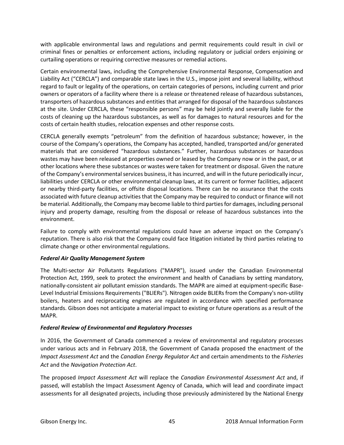with applicable environmental laws and regulations and permit requirements could result in civil or criminal fines or penalties or enforcement actions, including regulatory or judicial orders enjoining or curtailing operations or requiring corrective measures or remedial actions.

Certain environmental laws, including the Comprehensive Environmental Response, Compensation and Liability Act ("CERCLA") and comparable state laws in the U.S., impose joint and several liability, without regard to fault or legality of the operations, on certain categories of persons, including current and prior owners or operators of a facility where there is a release or threatened release of hazardous substances, transporters of hazardous substances and entities that arranged for disposal of the hazardous substances at the site. Under CERCLA, these "responsible persons" may be held jointly and severally liable for the costs of cleaning up the hazardous substances, as well as for damages to natural resources and for the costs of certain health studies, relocation expenses and other response costs.

CERCLA generally exempts "petroleum" from the definition of hazardous substance; however, in the course of the Company's operations, the Company has accepted, handled, transported and/or generated materials that are considered "hazardous substances." Further, hazardous substances or hazardous wastes may have been released at properties owned or leased by the Company now or in the past, or at other locations where these substances or wastes were taken for treatment or disposal. Given the nature of the Company's environmental services business, it has incurred, and will in the future periodically incur, liabilities under CERCLA or other environmental cleanup laws, at its current or former facilities, adjacent or nearby third-party facilities, or offsite disposal locations. There can be no assurance that the costs associated with future cleanup activities that the Company may be required to conduct or finance will not be material. Additionally, the Company may become liable to third parties for damages, including personal injury and property damage, resulting from the disposal or release of hazardous substances into the environment.

Failure to comply with environmental regulations could have an adverse impact on the Company's reputation. There is also risk that the Company could face litigation initiated by third parties relating to climate change or other environmental regulations.

## *Federal Air Quality Management System*

The Multi-sector Air Pollutants Regulations ("MAPR"), issued under the Canadian Environmental Protection Act, 1999, seek to protect the environment and health of Canadians by setting mandatory, nationally-consistent air pollutant emission standards. The MAPR are aimed at equipment-specific Base-Level Industrial Emissions Requirements ("BLIERs"). Nitrogen oxide BLIERs from the Company's non-utility boilers, heaters and reciprocating engines are regulated in accordance with specified performance standards. Gibson does not anticipate a material impact to existing or future operations as a result of the MAPR.

## *Federal Review of Environmental and Regulatory Processes*

In 2016, the Government of Canada commenced a review of environmental and regulatory processes under various acts and in February 2018, the Government of Canada proposed the enactment of the *Impact Assessment Act* and the *Canadian Energy Regulator Act* and certain amendments to the *Fisheries Act* and the *Navigation Protection Act*.

The proposed *Impact Assessment Act* will replace the *Canadian Environmental Assessment Act* and, if passed, will establish the Impact Assessment Agency of Canada, which will lead and coordinate impact assessments for all designated projects, including those previously administered by the National Energy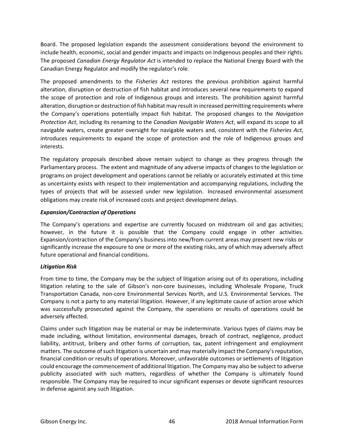Board. The proposed legislation expands the assessment considerations beyond the environment to include health, economic, social and gender impacts and impacts on Indigenous peoples and their rights. The proposed *Canadian Energy Regulator Act* is intended to replace the National Energy Board with the Canadian Energy Regulator and modify the regulator's role.

The proposed amendments to the *Fisheries Act* restores the previous prohibition against harmful alteration, disruption or destruction of fish habitat and introduces several new requirements to expand the scope of protection and role of Indigenous groups and interests. The prohibition against harmful alteration, disruption or destruction of fish habitat may result in increased permitting requirements where the Company's operations potentially impact fish habitat. The proposed changes to the *Navigation Protection Act*, including its renaming to the *Canadian Navigable Waters Act*, will expand its scope to all navigable waters, create greater oversight for navigable waters and, consistent with the *Fisheries Act*, introduces requirements to expand the scope of protection and the role of Indigenous groups and interests.

The regulatory proposals described above remain subject to change as they progress through the Parliamentary process. The extent and magnitude of any adverse impacts of changes to the legislation or programs on project development and operations cannot be reliably or accurately estimated at this time as uncertainty exists with respect to their implementation and accompanying regulations, including the types of projects that will be assessed under new legislation. Increased environmental assessment obligations may create risk of increased costs and project development delays.

# *Expansion/Contraction of Operations*

The Company's operations and expertise are currently focused on midstream oil and gas activities; however, in the future it is possible that the Company could engage in other activities. Expansion/contraction of the Company's business into new/from current areas may present new risks or significantly increase the exposure to one or more of the existing risks, any of which may adversely affect future operational and financial conditions.

# *Litigation Risk*

From time to time, the Company may be the subject of litigation arising out of its operations, including litigation relating to the sale of Gibson's non-core businesses, including Wholesale Propane, Truck Transportation Canada, non-core Environmental Services North, and U.S. Environmental Services. The Company is not a party to any material litigation. However, if any legitimate cause of action arose which was successfully prosecuted against the Company, the operations or results of operations could be adversely affected.

Claims under such litigation may be material or may be indeterminate. Various types of claims may be made including, without limitation, environmental damages, breach of contract, negligence, product liability, antitrust, bribery and other forms of corruption, tax, patent infringement and employment matters. The outcome of such litigation is uncertain and may materially impact the Company's reputation, financial condition or results of operations. Moreover, unfavorable outcomes or settlements of litigation could encourage the commencement of additional litigation. The Company may also be subject to adverse publicity associated with such matters, regardless of whether the Company is ultimately found responsible. The Company may be required to incur significant expenses or devote significant resources in defense against any such litigation.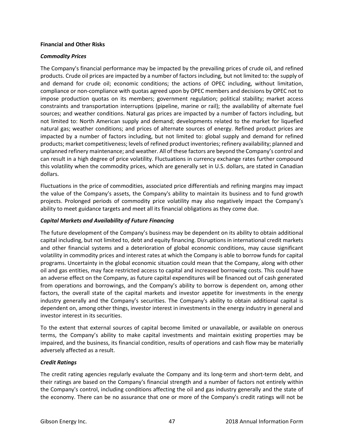## **Financial and Other Risks**

## *Commodity Prices*

The Company's financial performance may be impacted by the prevailing prices of crude oil, and refined products. Crude oil prices are impacted by a number of factors including, but not limited to: the supply of and demand for crude oil; economic conditions; the actions of OPEC including, without limitation, compliance or non-compliance with quotas agreed upon by OPEC members and decisions by OPEC not to impose production quotas on its members; government regulation; political stability; market access constraints and transportation interruptions (pipeline, marine or rail); the availability of alternate fuel sources; and weather conditions. Natural gas prices are impacted by a number of factors including, but not limited to: North American supply and demand; developments related to the market for liquefied natural gas; weather conditions; and prices of alternate sources of energy. Refined product prices are impacted by a number of factors including, but not limited to: global supply and demand for refined products; market competitiveness; levels of refined product inventories; refinery availability; planned and unplanned refinery maintenance; and weather. All of these factors are beyond the Company's control and can result in a high degree of price volatility. Fluctuations in currency exchange rates further compound this volatility when the commodity prices, which are generally set in U.S. dollars, are stated in Canadian dollars.

Fluctuations in the price of commodities, associated price differentials and refining margins may impact the value of the Company's assets, the Company's ability to maintain its business and to fund growth projects. Prolonged periods of commodity price volatility may also negatively impact the Company's ability to meet guidance targets and meet all its financial obligations as they come due.

## *Capital Markets and Availability of Future Financing*

The future development of the Company's business may be dependent on its ability to obtain additional capital including, but not limited to, debt and equity financing. Disruptions in international credit markets and other financial systems and a deterioration of global economic conditions, may cause significant volatility in commodity prices and interest rates at which the Company is able to borrow funds for capital programs. Uncertainty in the global economic situation could mean that the Company, along with other oil and gas entities, may face restricted access to capital and increased borrowing costs. This could have an adverse effect on the Company, as future capital expenditures will be financed out of cash generated from operations and borrowings, and the Company's ability to borrow is dependent on, among other factors, the overall state of the capital markets and investor appetite for investments in the energy industry generally and the Company's securities. The Company's ability to obtain additional capital is dependent on, among other things, investor interest in investments in the energy industry in general and investor interest in its securities.

To the extent that external sources of capital become limited or unavailable, or available on onerous terms, the Company's ability to make capital investments and maintain existing properties may be impaired, and the business, its financial condition, results of operations and cash flow may be materially adversely affected as a result.

## *Credit Ratings*

The credit rating agencies regularly evaluate the Company and its long-term and short-term debt, and their ratings are based on the Company's financial strength and a number of factors not entirely within the Company's control, including conditions affecting the oil and gas industry generally and the state of the economy. There can be no assurance that one or more of the Company's credit ratings will not be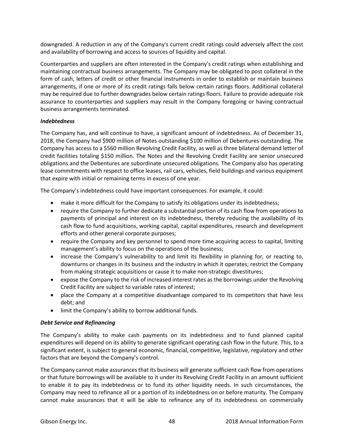downgraded. A reduction in any of the Company's current credit ratings could adversely affect the cost and availability of borrowing and access to sources of liquidity and capital.

Counterparties and suppliers are often interested in the Company's credit ratings when establishing and maintaining contractual business arrangements. The Company may be obligated to post collateral in the form of cash, letters of credit or other financial instruments in order to establish or maintain business arrangements, if one or more of its credit ratings falls below certain ratings floors. Additional collateral may be required due to further downgrades below certain ratings floors. Failure to provide adequate risk assurance to counterparties and suppliers may result in the Company foregoing or having contractual business arrangements terminated.

## *Indebtedness*

The Company has, and will continue to have, a significant amount of indebtedness. As of December 31, 2018, the Company had \$900 million of Notes outstanding \$100 million of Debentures outstanding. The Company has access to a \$560 million Revolving Credit Facility, as well as three bilateral demand letter of credit facilities totaling \$150 million. The Notes and the Revolving Credit Facility are senior unsecured obligations and the Debentures are subordinate unsecured obligations. The Company also has operating lease commitments with respect to office leases, rail cars, vehicles, field buildings and various equipment that expire with initial or remaining terms in excess of one year.

The Company's indebtedness could have important consequences. For example, it could:

- make it more difficult for the Company to satisfy its obligations under its indebtedness;
- require the Company to further dedicate a substantial portion of its cash flow from operations to payments of principal and interest on its indebtedness, thereby reducing the availability of its cash flow to fund acquisitions, working capital, capital expenditures, research and development efforts and other general corporate purposes;
- require the Company and key personnel to spend more time acquiring access to capital, limiting management's ability to focus on the operations of the business;
- increase the Company's vulnerability to and limit its flexibility in planning for, or reacting to, downturns or changes in its business and the industry in which it operates; restrict the Company from making strategic acquisitions or cause it to make non-strategic divestitures;
- expose the Company to the risk of increased interest rates as the borrowings under the Revolving Credit Facility are subject to variable rates of interest;
- place the Company at a competitive disadvantage compared to its competitors that have less debt; and
- limit the Company's ability to borrow additional funds.

## *Debt Service and Refinancing*

The Company's ability to make cash payments on its indebtedness and to fund planned capital expenditures will depend on its ability to generate significant operating cash flow in the future. This, to a significant extent, is subject to general economic, financial, competitive, legislative, regulatory and other factors that are beyond the Company's control.

The Company cannot make assurances that its business will generate sufficient cash flow from operations or that future borrowings will be available to it under its Revolving Credit Facility in an amount sufficient to enable it to pay its indebtedness or to fund its other liquidity needs. In such circumstances, the Company may need to refinance all or a portion of its indebtedness on or before maturity. The Company cannot make assurances that it will be able to refinance any of its indebtedness on commercially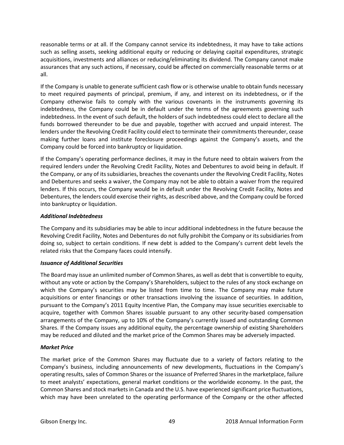reasonable terms or at all. If the Company cannot service its indebtedness, it may have to take actions such as selling assets, seeking additional equity or reducing or delaying capital expenditures, strategic acquisitions, investments and alliances or reducing/eliminating its dividend. The Company cannot make assurances that any such actions, if necessary, could be affected on commercially reasonable terms or at all.

If the Company is unable to generate sufficient cash flow or is otherwise unable to obtain funds necessary to meet required payments of principal, premium, if any, and interest on its indebtedness, or if the Company otherwise fails to comply with the various covenants in the instruments governing its indebtedness, the Company could be in default under the terms of the agreements governing such indebtedness. In the event of such default, the holders of such indebtedness could elect to declare all the funds borrowed thereunder to be due and payable, together with accrued and unpaid interest. The lenders under the Revolving Credit Facility could elect to terminate their commitments thereunder, cease making further loans and institute foreclosure proceedings against the Company's assets, and the Company could be forced into bankruptcy or liquidation.

If the Company's operating performance declines, it may in the future need to obtain waivers from the required lenders under the Revolving Credit Facility, Notes and Debentures to avoid being in default. If the Company, or any of its subsidiaries, breaches the covenants under the Revolving Credit Facility, Notes and Debentures and seeks a waiver, the Company may not be able to obtain a waiver from the required lenders. If this occurs, the Company would be in default under the Revolving Credit Facility, Notes and Debentures, the lenders could exercise their rights, as described above, and the Company could be forced into bankruptcy or liquidation.

# *Additional Indebtedness*

The Company and its subsidiaries may be able to incur additional indebtedness in the future because the Revolving Credit Facility, Notes and Debentures do not fully prohibit the Company or its subsidiaries from doing so, subject to certain conditions. If new debt is added to the Company's current debt levels the related risks that the Company faces could intensify.

## *Issuance of Additional Securities*

The Board may issue an unlimited number of Common Shares, as well as debt that is convertible to equity, without any vote or action by the Company's Shareholders, subject to the rules of any stock exchange on which the Company's securities may be listed from time to time. The Company may make future acquisitions or enter financings or other transactions involving the issuance of securities. In addition, pursuant to the Company's 2011 Equity Incentive Plan, the Company may issue securities exercisable to acquire, together with Common Shares issuable pursuant to any other security-based compensation arrangements of the Company, up to 10% of the Company's currently issued and outstanding Common Shares. If the Company issues any additional equity, the percentage ownership of existing Shareholders may be reduced and diluted and the market price of the Common Shares may be adversely impacted.

## *Market Price*

The market price of the Common Shares may fluctuate due to a variety of factors relating to the Company's business, including announcements of new developments, fluctuations in the Company's operating results, sales of Common Shares or the issuance of Preferred Shares in the marketplace, failure to meet analysts' expectations, general market conditions or the worldwide economy. In the past, the Common Shares and stock markets in Canada and the U.S. have experienced significant price fluctuations, which may have been unrelated to the operating performance of the Company or the other affected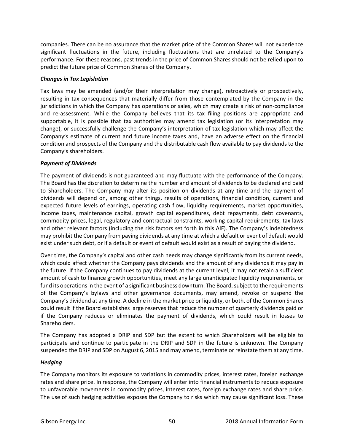companies. There can be no assurance that the market price of the Common Shares will not experience significant fluctuations in the future, including fluctuations that are unrelated to the Company's performance. For these reasons, past trends in the price of Common Shares should not be relied upon to predict the future price of Common Shares of the Company.

## *Changes in Tax Legislation*

Tax laws may be amended (and/or their interpretation may change), retroactively or prospectively, resulting in tax consequences that materially differ from those contemplated by the Company in the jurisdictions in which the Company has operations or sales, which may create a risk of non-compliance and re-assessment. While the Company believes that its tax filing positions are appropriate and supportable, it is possible that tax authorities may amend tax legislation (or its interpretation may change), or successfully challenge the Company's interpretation of tax legislation which may affect the Company's estimate of current and future income taxes and, have an adverse effect on the financial condition and prospects of the Company and the distributable cash flow available to pay dividends to the Company's shareholders.

# *Payment of Dividends*

The payment of dividends is not guaranteed and may fluctuate with the performance of the Company. The Board has the discretion to determine the number and amount of dividends to be declared and paid to Shareholders. The Company may alter its position on dividends at any time and the payment of dividends will depend on, among other things, results of operations, financial condition, current and expected future levels of earnings, operating cash flow, liquidity requirements, market opportunities, income taxes, maintenance capital, growth capital expenditures, debt repayments, debt covenants, commodity prices, legal, regulatory and contractual constraints, working capital requirements, tax laws and other relevant factors (including the risk factors set forth in this AIF). The Company's indebtedness may prohibit the Company from paying dividends at any time at which a default or event of default would exist under such debt, or if a default or event of default would exist as a result of paying the dividend.

Over time, the Company's capital and other cash needs may change significantly from its current needs, which could affect whether the Company pays dividends and the amount of any dividends it may pay in the future. If the Company continues to pay dividends at the current level, it may not retain a sufficient amount of cash to finance growth opportunities, meet any large unanticipated liquidity requirements, or fund its operations in the event of a significant business downturn. The Board, subject to the requirements of the Company's bylaws and other governance documents, may amend, revoke or suspend the Company's dividend at any time. A decline in the market price or liquidity, or both, of the Common Shares could result if the Board establishes large reserves that reduce the number of quarterly dividends paid or if the Company reduces or eliminates the payment of dividends, which could result in losses to Shareholders.

The Company has adopted a DRIP and SDP but the extent to which Shareholders will be eligible to participate and continue to participate in the DRIP and SDP in the future is unknown. The Company suspended the DRIP and SDP on August 6, 2015 and may amend, terminate or reinstate them at any time.

# *Hedging*

The Company monitors its exposure to variations in commodity prices, interest rates, foreign exchange rates and share price. In response, the Company will enter into financial instruments to reduce exposure to unfavorable movements in commodity prices, interest rates, foreign exchange rates and share price. The use of such hedging activities exposes the Company to risks which may cause significant loss. These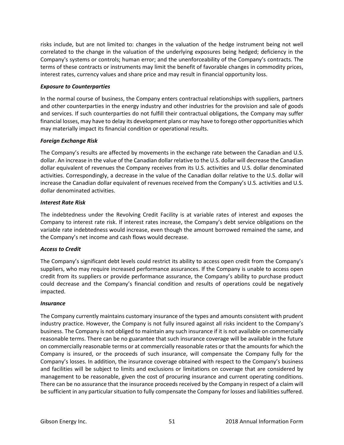risks include, but are not limited to: changes in the valuation of the hedge instrument being not well correlated to the change in the valuation of the underlying exposures being hedged; deficiency in the Company's systems or controls; human error; and the unenforceability of the Company's contracts. The terms of these contracts or instruments may limit the benefit of favorable changes in commodity prices, interest rates, currency values and share price and may result in financial opportunity loss.

## *Exposure to Counterparties*

In the normal course of business, the Company enters contractual relationships with suppliers, partners and other counterparties in the energy industry and other industries for the provision and sale of goods and services. If such counterparties do not fulfill their contractual obligations, the Company may suffer financial losses, may have to delay its development plans or may have to forego other opportunities which may materially impact its financial condition or operational results.

## *Foreign Exchange Risk*

The Company's results are affected by movements in the exchange rate between the Canadian and U.S. dollar. An increase in the value of the Canadian dollar relative to the U.S. dollar will decrease the Canadian dollar equivalent of revenues the Company receives from its U.S. activities and U.S. dollar denominated activities. Correspondingly, a decrease in the value of the Canadian dollar relative to the U.S. dollar will increase the Canadian dollar equivalent of revenues received from the Company's U.S. activities and U.S. dollar denominated activities.

## *Interest Rate Risk*

The indebtedness under the Revolving Credit Facility is at variable rates of interest and exposes the Company to interest rate risk. If interest rates increase, the Company's debt service obligations on the variable rate indebtedness would increase, even though the amount borrowed remained the same, and the Company's net income and cash flows would decrease.

## *Access to Credit*

The Company's significant debt levels could restrict its ability to access open credit from the Company's suppliers, who may require increased performance assurances. If the Company is unable to access open credit from its suppliers or provide performance assurance, the Company's ability to purchase product could decrease and the Company's financial condition and results of operations could be negatively impacted.

## *Insurance*

The Company currently maintains customary insurance of the types and amounts consistent with prudent industry practice. However, the Company is not fully insured against all risks incident to the Company's business. The Company is not obliged to maintain any such insurance if it is not available on commercially reasonable terms. There can be no guarantee that such insurance coverage will be available in the future on commercially reasonable terms or at commercially reasonable rates or that the amounts for which the Company is insured, or the proceeds of such insurance, will compensate the Company fully for the Company's losses. In addition, the insurance coverage obtained with respect to the Company's business and facilities will be subject to limits and exclusions or limitations on coverage that are considered by management to be reasonable, given the cost of procuring insurance and current operating conditions. There can be no assurance that the insurance proceeds received by the Company in respect of a claim will be sufficient in any particular situation to fully compensate the Company for losses and liabilities suffered.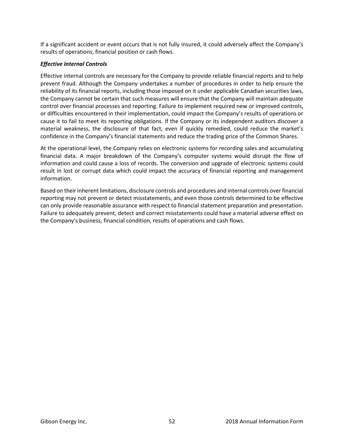If a significant accident or event occurs that is not fully insured, it could adversely affect the Company's results of operations, financial position or cash flows.

# *Effective Internal Controls*

Effective internal controls are necessary for the Company to provide reliable financial reports and to help prevent fraud. Although the Company undertakes a number of procedures in order to help ensure the reliability of its financial reports, including those imposed on it under applicable Canadian securities laws, the Company cannot be certain that such measures will ensure that the Company will maintain adequate control over financial processes and reporting. Failure to implement required new or improved controls, or difficulties encountered in their implementation, could impact the Company's results of operations or cause it to fail to meet its reporting obligations. If the Company or its independent auditors discover a material weakness, the disclosure of that fact, even if quickly remedied, could reduce the market's confidence in the Company's financial statements and reduce the trading price of the Common Shares.

At the operational level, the Company relies on electronic systems for recording sales and accumulating financial data. A major breakdown of the Company's computer systems would disrupt the flow of information and could cause a loss of records. The conversion and upgrade of electronic systems could result in lost or corrupt data which could impact the accuracy of financial reporting and management information.

Based on their inherent limitations, disclosure controls and procedures and internal controls over financial reporting may not prevent or detect misstatements, and even those controls determined to be effective can only provide reasonable assurance with respect to financial statement preparation and presentation. Failure to adequately prevent, detect and correct misstatements could have a material adverse effect on the Company's business, financial condition, results of operations and cash flows.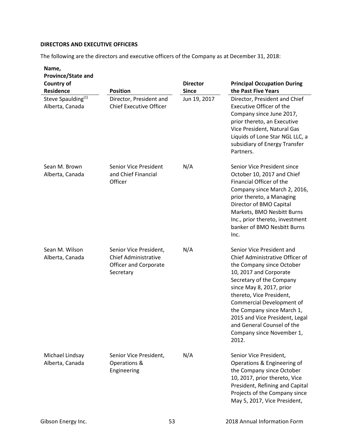# **DIRECTORS AND EXECUTIVE OFFICERS**

The following are the directors and executive officers of the Company as at December 31, 2018:

| Name,<br>Province/State and<br><b>Country of</b><br><b>Residence</b> | <b>Position</b>                                                                             | <b>Director</b><br><b>Since</b> | <b>Principal Occupation During</b><br>the Past Five Years                                                                                                                                                                                                                                                                                                                |
|----------------------------------------------------------------------|---------------------------------------------------------------------------------------------|---------------------------------|--------------------------------------------------------------------------------------------------------------------------------------------------------------------------------------------------------------------------------------------------------------------------------------------------------------------------------------------------------------------------|
| Steve Spaulding <sup>(1)</sup><br>Alberta, Canada                    | Director, President and<br><b>Chief Executive Officer</b>                                   | Jun 19, 2017                    | Director, President and Chief<br><b>Executive Officer of the</b><br>Company since June 2017,<br>prior thereto, an Executive<br>Vice President, Natural Gas<br>Liquids of Lone Star NGL LLC, a<br>subsidiary of Energy Transfer<br>Partners.                                                                                                                              |
| Sean M. Brown<br>Alberta, Canada                                     | Senior Vice President<br>and Chief Financial<br>Officer                                     | N/A                             | Senior Vice President since<br>October 10, 2017 and Chief<br>Financial Officer of the<br>Company since March 2, 2016,<br>prior thereto, a Managing<br>Director of BMO Capital<br>Markets, BMO Nesbitt Burns<br>Inc., prior thereto, investment<br>banker of BMO Nesbitt Burns<br>Inc.                                                                                    |
| Sean M. Wilson<br>Alberta, Canada                                    | Senior Vice President,<br><b>Chief Administrative</b><br>Officer and Corporate<br>Secretary | N/A                             | Senior Vice President and<br>Chief Administrative Officer of<br>the Company since October<br>10, 2017 and Corporate<br>Secretary of the Company<br>since May 8, 2017, prior<br>thereto, Vice President,<br>Commercial Development of<br>the Company since March 1,<br>2015 and Vice President, Legal<br>and General Counsel of the<br>Company since November 1,<br>2012. |
| Michael Lindsay<br>Alberta, Canada                                   | Senior Vice President,<br>Operations &<br>Engineering                                       | N/A                             | Senior Vice President,<br>Operations & Engineering of<br>the Company since October<br>10, 2017, prior thereto, Vice<br>President, Refining and Capital<br>Projects of the Company since<br>May 5, 2017, Vice President,                                                                                                                                                  |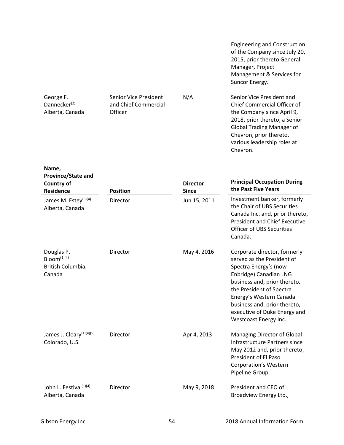Engineering and Construction of the Company since July 20, 2015, prior thereto General Manager, Project Management & Services for Suncor Energy.

N/A Senior Vice President and Chief Commercial Officer of the Company since April 9, 2018, prior thereto, a Senior Global Trading Manager of Chevron, prior thereto, various leadership roles at Chevron.

÷,

| <b>Province/State and</b><br><b>Country of</b><br><b>Residence</b>   | <b>Position</b> | <b>Director</b><br><b>Since</b> | <b>Principal Occupation During</b><br>the Past Five Years                                                                                                                                                                                                                                     |
|----------------------------------------------------------------------|-----------------|---------------------------------|-----------------------------------------------------------------------------------------------------------------------------------------------------------------------------------------------------------------------------------------------------------------------------------------------|
| James M. Estey <sup>(3)(4)</sup><br>Alberta, Canada                  | Director        | Jun 15, 2011                    | Investment banker, formerly<br>the Chair of UBS Securities<br>Canada Inc. and, prior thereto,<br><b>President and Chief Executive</b><br><b>Officer of UBS Securities</b><br>Canada.                                                                                                          |
| Douglas P.<br>Bloom <sup>(1)(4)</sup><br>British Columbia,<br>Canada | Director        | May 4, 2016                     | Corporate director, formerly<br>served as the President of<br>Spectra Energy's (now<br>Enbridge) Canadian LNG<br>business and, prior thereto,<br>the President of Spectra<br>Energy's Western Canada<br>business and, prior thereto,<br>executive of Duke Energy and<br>Westcoast Energy Inc. |
| James J. Cleary <sup>(1)(4)(5)</sup><br>Colorado, U.S.               | Director        | Apr 4, 2013                     | Managing Director of Global<br>Infrastructure Partners since<br>May 2012 and, prior thereto,<br>President of El Paso<br><b>Corporation's Western</b><br>Pipeline Group.                                                                                                                       |
| John L. Festival <sup>(1)(4)</sup><br>Alberta, Canada                | Director        | May 9, 2018                     | President and CEO of<br>Broadview Energy Ltd.,                                                                                                                                                                                                                                                |

Senior Vice President and Chief Commercial

**Officer** 

George F. Dannecker<sup>(2)</sup> Alberta, Canada

**Name,**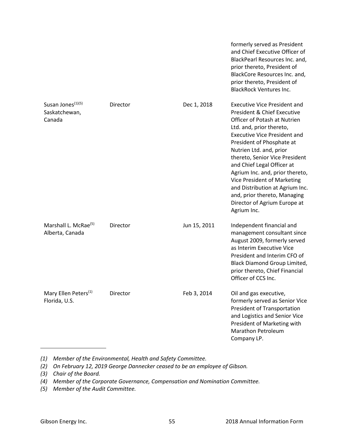|                                                          |          |              | formerly served as President<br>and Chief Executive Officer of<br>BlackPearl Resources Inc. and,<br>prior thereto, President of<br>BlackCore Resources Inc. and,<br>prior thereto, President of<br><b>BlackRock Ventures Inc.</b>                                                                                                                                                                                                                                                            |
|----------------------------------------------------------|----------|--------------|----------------------------------------------------------------------------------------------------------------------------------------------------------------------------------------------------------------------------------------------------------------------------------------------------------------------------------------------------------------------------------------------------------------------------------------------------------------------------------------------|
| Susan Jones <sup>(1)(5)</sup><br>Saskatchewan,<br>Canada | Director | Dec 1, 2018  | <b>Executive Vice President and</b><br><b>President &amp; Chief Executive</b><br>Officer of Potash at Nutrien<br>Ltd. and, prior thereto,<br><b>Executive Vice President and</b><br>President of Phosphate at<br>Nutrien Ltd. and, prior<br>thereto, Senior Vice President<br>and Chief Legal Officer at<br>Agrium Inc. and, prior thereto,<br>Vice President of Marketing<br>and Distribution at Agrium Inc.<br>and, prior thereto, Managing<br>Director of Agrium Europe at<br>Agrium Inc. |
| Marshall L. McRae <sup>(5)</sup><br>Alberta, Canada      | Director | Jun 15, 2011 | Independent financial and<br>management consultant since<br>August 2009, formerly served<br>as Interim Executive Vice<br>President and Interim CFO of<br>Black Diamond Group Limited,<br>prior thereto, Chief Financial<br>Officer of CCS Inc.                                                                                                                                                                                                                                               |
| Mary Ellen Peters <sup>(1)</sup><br>Florida, U.S.        | Director | Feb 3, 2014  | Oil and gas executive,<br>formerly served as Senior Vice<br><b>President of Transportation</b><br>and Logistics and Senior Vice<br>President of Marketing with<br><b>Marathon Petroleum</b><br>Company LP.                                                                                                                                                                                                                                                                                   |

- *(1) Member of the Environmental, Health and Safety Committee.*
- *(2) On February 12, 2019 George Dannecker ceased to be an employee of Gibson.*
- *(3) Chair of the Board.*
- *(4) Member of the Corporate Governance, Compensation and Nomination Committee.*
- *(5) Member of the Audit Committee.*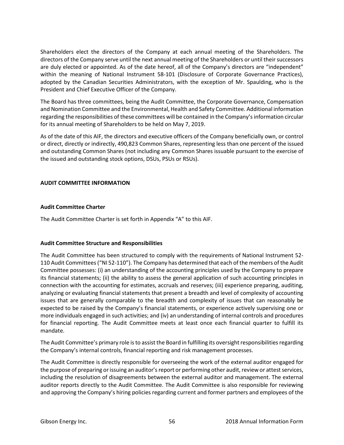Shareholders elect the directors of the Company at each annual meeting of the Shareholders. The directors of the Company serve until the next annual meeting of the Shareholders or until their successors are duly elected or appointed. As of the date hereof, all of the Company's directors are "independent" within the meaning of National Instrument 58-101 (Disclosure of Corporate Governance Practices), adopted by the Canadian Securities Administrators, with the exception of Mr. Spaulding, who is the President and Chief Executive Officer of the Company.

The Board has three committees, being the Audit Committee, the Corporate Governance, Compensation and Nomination Committee and the Environmental, Health and Safety Committee. Additional information regarding the responsibilities of these committees will be contained in the Company's information circular for its annual meeting of Shareholders to be held on May 7, 2019.

As of the date of this AIF, the directors and executive officers of the Company beneficially own, or control or direct, directly or indirectly, 490,823 Common Shares, representing less than one percent of the issued and outstanding Common Shares (not including any Common Shares issuable pursuant to the exercise of the issued and outstanding stock options, DSUs, PSUs or RSUs).

## **AUDIT COMMITTEE INFORMATION**

# **Audit Committee Charter**

The Audit Committee Charter is set forth in Appendix "A" to this AIF.

## **Audit Committee Structure and Responsibilities**

The Audit Committee has been structured to comply with the requirements of National Instrument 52- 110 Audit Committees ("NI 52-110"). The Company has determined that each of the members of the Audit Committee possesses: (i) an understanding of the accounting principles used by the Company to prepare its financial statements; (ii) the ability to assess the general application of such accounting principles in connection with the accounting for estimates, accruals and reserves; (iii) experience preparing, auditing, analyzing or evaluating financial statements that present a breadth and level of complexity of accounting issues that are generally comparable to the breadth and complexity of issues that can reasonably be expected to be raised by the Company's financial statements, or experience actively supervising one or more individuals engaged in such activities; and (iv) an understanding of internal controls and procedures for financial reporting. The Audit Committee meets at least once each financial quarter to fulfill its mandate.

The Audit Committee's primary role is to assist the Board in fulfilling its oversight responsibilitiesregarding the Company's internal controls, financial reporting and risk management processes.

The Audit Committee is directly responsible for overseeing the work of the external auditor engaged for the purpose of preparing or issuing an auditor's report or performing other audit, review or attest services, including the resolution of disagreements between the external auditor and management. The external auditor reports directly to the Audit Committee. The Audit Committee is also responsible for reviewing and approving the Company's hiring policies regarding current and former partners and employees of the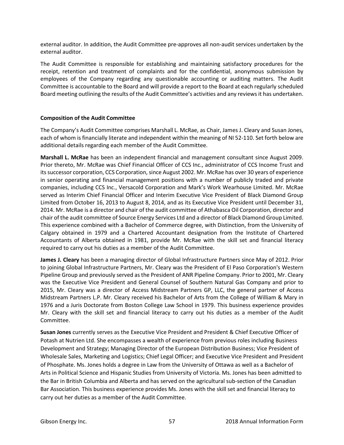external auditor. In addition, the Audit Committee pre-approves all non-audit services undertaken by the external auditor.

The Audit Committee is responsible for establishing and maintaining satisfactory procedures for the receipt, retention and treatment of complaints and for the confidential, anonymous submission by employees of the Company regarding any questionable accounting or auditing matters. The Audit Committee is accountable to the Board and will provide a report to the Board at each regularly scheduled Board meeting outlining the results of the Audit Committee's activities and any reviews it has undertaken.

## **Composition of the Audit Committee**

The Company's Audit Committee comprises Marshall L. McRae, as Chair, James J. Cleary and Susan Jones, each of whom is financially literate and independent within the meaning of NI 52-110. Set forth below are additional details regarding each member of the Audit Committee.

**Marshall L. McRae** has been an independent financial and management consultant since August 2009. Prior thereto, Mr. McRae was Chief Financial Officer of CCS Inc., administrator of CCS Income Trust and its successor corporation, CCS Corporation, since August 2002. Mr. McRae has over 30 years of experience in senior operating and financial management positions with a number of publicly traded and private companies, including CCS Inc., Versacold Corporation and Mark's Work Wearhouse Limited. Mr. McRae served as Interim Chief Financial Officer and Interim Executive Vice President of Black Diamond Group Limited from October 16, 2013 to August 8, 2014, and as its Executive Vice President until December 31, 2014. Mr. McRae is a director and chair of the audit committee of Athabasca Oil Corporation, director and chair of the audit committee of Source Energy Services Ltd and a director of Black Diamond Group Limited. This experience combined with a Bachelor of Commerce degree, with Distinction, from the University of Calgary obtained in 1979 and a Chartered Accountant designation from the Institute of Chartered Accountants of Alberta obtained in 1981, provide Mr. McRae with the skill set and financial literacy required to carry out his duties as a member of the Audit Committee.

**James J. Cleary** has been a managing director of Global Infrastructure Partners since May of 2012. Prior to joining Global Infrastructure Partners, Mr. Cleary was the President of El Paso Corporation's Western Pipeline Group and previously served as the President of ANR Pipeline Company. Prior to 2001, Mr. Cleary was the Executive Vice President and General Counsel of Southern Natural Gas Company and prior to 2015, Mr. Cleary was a director of Access Midstream Partners GP, LLC, the general partner of Access Midstream Partners L.P. Mr. Cleary received his Bachelor of Arts from the College of William & Mary in 1976 and a Juris Doctorate from Boston College Law School in 1979. This business experience provides Mr. Cleary with the skill set and financial literacy to carry out his duties as a member of the Audit Committee.

**Susan Jones** currently serves as the Executive Vice President and President & Chief Executive Officer of Potash at Nutrien Ltd. She encompasses a wealth of experience from previous roles including Business Development and Strategy; Managing Director of the European Distribution Business; Vice President of Wholesale Sales, Marketing and Logistics; Chief Legal Officer; and Executive Vice President and President of Phosphate. Ms. Jones holds a degree in Law from the University of Ottawa as well as a Bachelor of Arts in Political Science and Hispanic Studies from University of Victoria. Ms. Jones has been admitted to the Bar in British Columbia and Alberta and has served on the agricultural sub-section of the Canadian Bar Association. This business experience provides Ms. Jones with the skill set and financial literacy to carry out her duties as a member of the Audit Committee.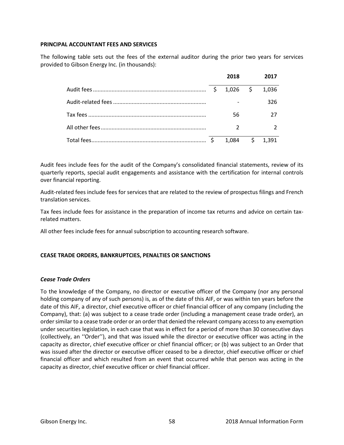## **PRINCIPAL ACCOUNTANT FEES AND SERVICES**

The following table sets out the fees of the external auditor during the prior two years for services provided to Gibson Energy Inc. (in thousands):

|    | 2018       | 2017             |
|----|------------|------------------|
| \$ | $1,026$ \$ | 1,036            |
|    |            | 326              |
|    | 56         |                  |
|    |            |                  |
|    |            | $1,084$ \$ 1,391 |

Audit fees include fees for the audit of the Company's consolidated financial statements, review of its quarterly reports, special audit engagements and assistance with the certification for internal controls over financial reporting.

Audit-related fees include fees for services that are related to the review of prospectus filings and French translation services.

Tax fees include fees for assistance in the preparation of income tax returns and advice on certain taxrelated matters.

All other fees include fees for annual subscription to accounting research software.

## **CEASE TRADE ORDERS, BANKRUPTCIES, PENALTIES OR SANCTIONS**

## *Cease Trade Orders*

To the knowledge of the Company, no director or executive officer of the Company (nor any personal holding company of any of such persons) is, as of the date of this AIF, or was within ten years before the date of this AIF, a director, chief executive officer or chief financial officer of any company (including the Company), that: (a) was subject to a cease trade order (including a management cease trade order), an order similar to a cease trade order or an order that denied the relevant company access to any exemption under securities legislation, in each case that was in effect for a period of more than 30 consecutive days (collectively, an ''Order''), and that was issued while the director or executive officer was acting in the capacity as director, chief executive officer or chief financial officer; or (b) was subject to an Order that was issued after the director or executive officer ceased to be a director, chief executive officer or chief financial officer and which resulted from an event that occurred while that person was acting in the capacity as director, chief executive officer or chief financial officer.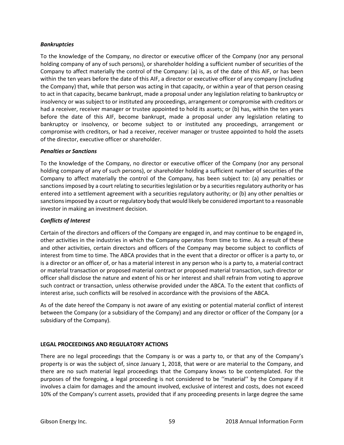## *Bankruptcies*

To the knowledge of the Company, no director or executive officer of the Company (nor any personal holding company of any of such persons), or shareholder holding a sufficient number of securities of the Company to affect materially the control of the Company: (a) is, as of the date of this AIF, or has been within the ten years before the date of this AIF, a director or executive officer of any company (including the Company) that, while that person was acting in that capacity, or within a year of that person ceasing to act in that capacity, became bankrupt, made a proposal under any legislation relating to bankruptcy or insolvency or was subject to or instituted any proceedings, arrangement or compromise with creditors or had a receiver, receiver manager or trustee appointed to hold its assets; or (b) has, within the ten years before the date of this AIF, become bankrupt, made a proposal under any legislation relating to bankruptcy or insolvency, or become subject to or instituted any proceedings, arrangement or compromise with creditors, or had a receiver, receiver manager or trustee appointed to hold the assets of the director, executive officer or shareholder.

## *Penalties or Sanctions*

To the knowledge of the Company, no director or executive officer of the Company (nor any personal holding company of any of such persons), or shareholder holding a sufficient number of securities of the Company to affect materially the control of the Company, has been subject to: (a) any penalties or sanctions imposed by a court relating to securities legislation or by a securities regulatory authority or has entered into a settlement agreement with a securities regulatory authority; or (b) any other penalties or sanctions imposed by a court or regulatory body that would likely be considered important to a reasonable investor in making an investment decision.

# *Conflicts of Interest*

Certain of the directors and officers of the Company are engaged in, and may continue to be engaged in, other activities in the industries in which the Company operates from time to time. As a result of these and other activities, certain directors and officers of the Company may become subject to conflicts of interest from time to time. The ABCA provides that in the event that a director or officer is a party to, or is a director or an officer of, or has a material interest in any person who is a party to, a material contract or material transaction or proposed material contract or proposed material transaction, such director or officer shall disclose the nature and extent of his or her interest and shall refrain from voting to approve such contract or transaction, unless otherwise provided under the ABCA. To the extent that conflicts of interest arise, such conflicts will be resolved in accordance with the provisions of the ABCA.

As of the date hereof the Company is not aware of any existing or potential material conflict of interest between the Company (or a subsidiary of the Company) and any director or officer of the Company (or a subsidiary of the Company).

# **LEGAL PROCEEDINGS AND REGULATORY ACTIONS**

There are no legal proceedings that the Company is or was a party to, or that any of the Company's property is or was the subject of, since January 1, 2018, that were or are material to the Company, and there are no such material legal proceedings that the Company knows to be contemplated. For the purposes of the foregoing, a legal proceeding is not considered to be ''material'' by the Company if it involves a claim for damages and the amount involved, exclusive of interest and costs, does not exceed 10% of the Company's current assets, provided that if any proceeding presents in large degree the same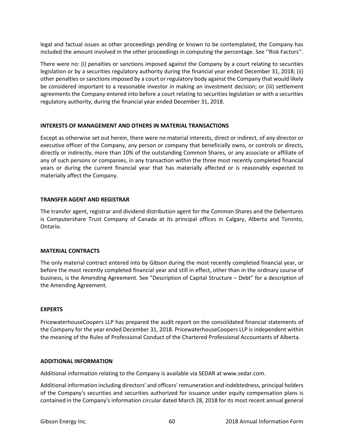legal and factual issues as other proceedings pending or known to be contemplated, the Company has included the amount involved in the other proceedings in computing the percentage. See ''Risk Factors''.

There were no: (i) penalties or sanctions imposed against the Company by a court relating to securities legislation or by a securities regulatory authority during the financial year ended December 31, 2018; (ii) other penalties or sanctions imposed by a court or regulatory body against the Company that would likely be considered important to a reasonable investor in making an investment decision; or (iii) settlement agreements the Company entered into before a court relating to securities legislation or with a securities regulatory authority, during the financial year ended December 31, 2018.

## **INTERESTS OF MANAGEMENT AND OTHERS IN MATERIAL TRANSACTIONS**

Except as otherwise set out herein, there were no material interests, direct or indirect, of any director or executive officer of the Company, any person or company that beneficially owns, or controls or directs, directly or indirectly, more than 10% of the outstanding Common Shares, or any associate or affiliate of any of such persons or companies, in any transaction within the three most recently completed financial years or during the current financial year that has materially affected or is reasonably expected to materially affect the Company.

## **TRANSFER AGENT AND REGISTRAR**

The transfer agent, registrar and dividend distribution agent for the Common Shares and the Debentures is Computershare Trust Company of Canada at its principal offices in Calgary, Alberta and Toronto, Ontario.

## **MATERIAL CONTRACTS**

The only material contract entered into by Gibson during the most recently completed financial year, or before the most recently completed financial year and still in effect, other than in the ordinary course of business, is the Amending Agreement. See "Description of Capital Structure – Debt" for a description of the Amending Agreement.

## **EXPERTS**

PricewaterhouseCoopers LLP has prepared the audit report on the consolidated financial statements of the Company for the year ended December 31, 2018. PricewaterhouseCoopers LLP is independent within the meaning of the Rules of Professional Conduct of the Chartered Professional Accountants of Alberta.

## **ADDITIONAL INFORMATION**

Additional information relating to the Company is available via SEDAR at www.sedar.com.

Additional information including directors' and officers' remuneration and indebtedness, principal holders of the Company's securities and securities authorized for issuance under equity compensation plans is contained in the Company's information circular dated March 28, 2018 for its most recent annual general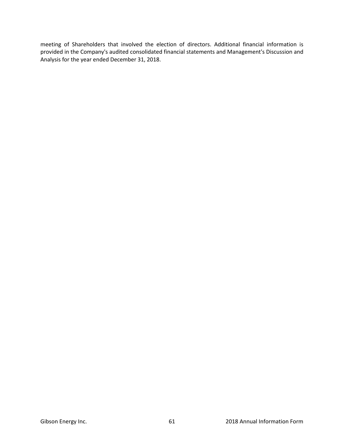meeting of Shareholders that involved the election of directors. Additional financial information is provided in the Company's audited consolidated financial statements and Management's Discussion and Analysis for the year ended December 31, 2018.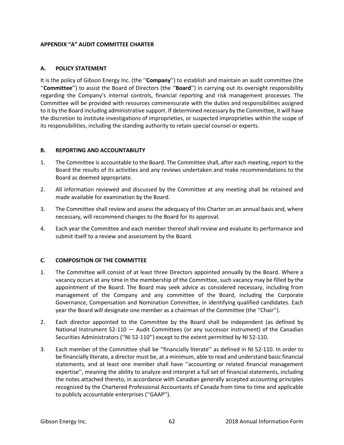# **APPENDIX "A" AUDIT COMMITTEE CHARTER**

## **A. POLICY STATEMENT**

It is the policy of Gibson Energy Inc. (the ''**Company**'') to establish and maintain an audit committee (the ''**Committee**'') to assist the Board of Directors (the ''**Board**'') in carrying out its oversight responsibility regarding the Company's internal controls, financial reporting and risk management processes. The Committee will be provided with resources commensurate with the duties and responsibilities assigned to it by the Board including administrative support. If determined necessary by the Committee, it will have the discretion to institute investigations of improprieties, or suspected improprieties within the scope of its responsibilities, including the standing authority to retain special counsel or experts.

## **B. REPORTING AND ACCOUNTABILITY**

- 1. The Committee is accountable to the Board. The Committee shall, after each meeting, report to the Board the results of its activities and any reviews undertaken and make recommendations to the Board as deemed appropriate.
- 2. All information reviewed and discussed by the Committee at any meeting shall be retained and made available for examination by the Board.
- 3. The Committee shall review and assess the adequacy of this Charter on an annual basis and, where necessary, will recommend changes to the Board for its approval.
- 4. Each year the Committee and each member thereof shall review and evaluate its performance and submit itself to a review and assessment by the Board.

# **C. COMPOSITION OF THE COMMITTEE**

- 1. The Committee will consist of at least three Directors appointed annually by the Board. Where a vacancy occurs at any time in the membership of the Committee, such vacancy may be filled by the appointment of the Board. The Board may seek advice as considered necessary, including from management of the Company and any committee of the Board, including the Corporate Governance, Compensation and Nomination Committee, in identifying qualified candidates. Each year the Board will designate one member as a chairman of the Committee (the ''Chair'').
- 2. Each director appointed to the Committee by the Board shall be independent (as defined by National Instrument 52-110 — Audit Committees (or any successor instrument) of the Canadian Securities Administrators (''NI 52-110'') except to the extent permitted by NI 52-110.
- 3. Each member of the Committee shall be ''financially literate'' as defined in NI 52-110. In order to be financially literate, a director must be, at a minimum, able to read and understand basic financial statements, and at least one member shall have ''accounting or related financial management expertise'', meaning the ability to analyze and interpret a full set of financial statements, including the notes attached thereto, in accordance with Canadian generally accepted accounting principles recognized by the Chartered Professional Accountants of Canada from time to time and applicable to publicly accountable enterprises (''GAAP'').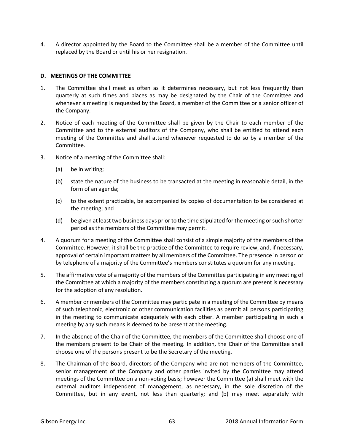4. A director appointed by the Board to the Committee shall be a member of the Committee until replaced by the Board or until his or her resignation.

## **D. MEETINGS OF THE COMMITTEE**

- 1. The Committee shall meet as often as it determines necessary, but not less frequently than quarterly at such times and places as may be designated by the Chair of the Committee and whenever a meeting is requested by the Board, a member of the Committee or a senior officer of the Company.
- 2. Notice of each meeting of the Committee shall be given by the Chair to each member of the Committee and to the external auditors of the Company, who shall be entitled to attend each meeting of the Committee and shall attend whenever requested to do so by a member of the Committee.
- 3. Notice of a meeting of the Committee shall:
	- (a) be in writing;
	- (b) state the nature of the business to be transacted at the meeting in reasonable detail, in the form of an agenda;
	- (c) to the extent practicable, be accompanied by copies of documentation to be considered at the meeting; and
	- (d) be given at least two business days prior to the time stipulated for the meeting or such shorter period as the members of the Committee may permit.
- 4. A quorum for a meeting of the Committee shall consist of a simple majority of the members of the Committee. However, it shall be the practice of the Committee to require review, and, if necessary, approval of certain important matters by all members of the Committee. The presence in person or by telephone of a majority of the Committee's members constitutes a quorum for any meeting.
- 5. The affirmative vote of a majority of the members of the Committee participating in any meeting of the Committee at which a majority of the members constituting a quorum are present is necessary for the adoption of any resolution.
- 6. A member or members of the Committee may participate in a meeting of the Committee by means of such telephonic, electronic or other communication facilities as permit all persons participating in the meeting to communicate adequately with each other. A member participating in such a meeting by any such means is deemed to be present at the meeting.
- 7. In the absence of the Chair of the Committee, the members of the Committee shall choose one of the members present to be Chair of the meeting. In addition, the Chair of the Committee shall choose one of the persons present to be the Secretary of the meeting.
- 8. The Chairman of the Board, directors of the Company who are not members of the Committee, senior management of the Company and other parties invited by the Committee may attend meetings of the Committee on a non-voting basis; however the Committee (a) shall meet with the external auditors independent of management, as necessary, in the sole discretion of the Committee, but in any event, not less than quarterly; and (b) may meet separately with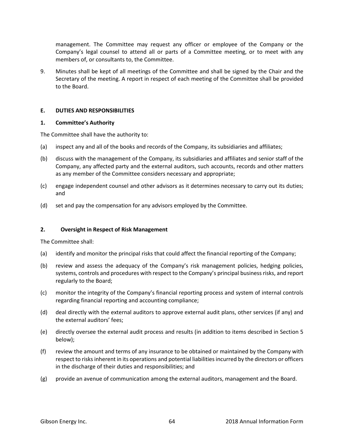management. The Committee may request any officer or employee of the Company or the Company's legal counsel to attend all or parts of a Committee meeting, or to meet with any members of, or consultants to, the Committee.

9. Minutes shall be kept of all meetings of the Committee and shall be signed by the Chair and the Secretary of the meeting. A report in respect of each meeting of the Committee shall be provided to the Board.

## **E. DUTIES AND RESPONSIBILITIES**

## **1. Committee's Authority**

The Committee shall have the authority to:

- (a) inspect any and all of the books and records of the Company, its subsidiaries and affiliates;
- (b) discuss with the management of the Company, its subsidiaries and affiliates and senior staff of the Company, any affected party and the external auditors, such accounts, records and other matters as any member of the Committee considers necessary and appropriate;
- (c) engage independent counsel and other advisors as it determines necessary to carry out its duties; and
- (d) set and pay the compensation for any advisors employed by the Committee.

## **2. Oversight in Respect of Risk Management**

The Committee shall:

- (a) identify and monitor the principal risks that could affect the financial reporting of the Company;
- (b) review and assess the adequacy of the Company's risk management policies, hedging policies, systems, controls and procedures with respect to the Company's principal business risks, and report regularly to the Board;
- (c) monitor the integrity of the Company's financial reporting process and system of internal controls regarding financial reporting and accounting compliance;
- (d) deal directly with the external auditors to approve external audit plans, other services (if any) and the external auditors' fees;
- (e) directly oversee the external audit process and results (in addition to items described in Section 5 below);
- (f) review the amount and terms of any insurance to be obtained or maintained by the Company with respect to risks inherent in its operations and potential liabilities incurred by the directors or officers in the discharge of their duties and responsibilities; and
- (g) provide an avenue of communication among the external auditors, management and the Board.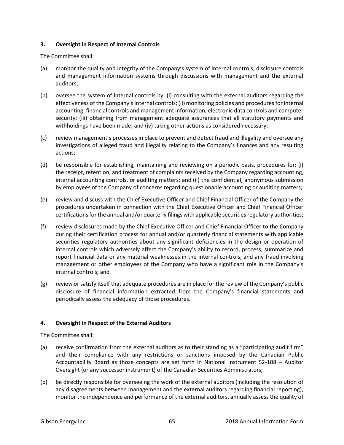## **3. Oversight in Respect of Internal Controls**

The Committee shall:

- (a) monitor the quality and integrity of the Company's system of internal controls, disclosure controls and management information systems through discussions with management and the external auditors;
- (b) oversee the system of internal controls by: (i) consulting with the external auditors regarding the effectiveness of the Company's internal controls; (ii) monitoring policies and procedures for internal accounting, financial controls and management information, electronic data controls and computer security; (iii) obtaining from management adequate assurances that all statutory payments and withholdings have been made; and (iv) taking other actions as considered necessary;
- (c) review management's processes in place to prevent and detect fraud and illegality and oversee any investigations of alleged fraud and illegality relating to the Company's finances and any resulting actions;
- (d) be responsible for establishing, maintaining and reviewing on a periodic basis, procedures for: (i) the receipt, retention, and treatment of complaints received by the Company regarding accounting, internal accounting controls, or auditing matters; and (ii) the confidential, anonymous submission by employees of the Company of concerns regarding questionable accounting or auditing matters;
- (e) review and discuss with the Chief Executive Officer and Chief Financial Officer of the Company the procedures undertaken in connection with the Chief Executive Officer and Chief Financial Officer certifications for the annual and/or quarterly filings with applicable securities regulatory authorities;
- (f) review disclosures made by the Chief Executive Officer and Chief Financial Officer to the Company during their certification process for annual and/or quarterly financial statements with applicable securities regulatory authorities about any significant deficiencies in the design or operation of internal controls which adversely affect the Company's ability to record, process, summarize and report financial data or any material weaknesses in the internal controls, and any fraud involving management or other employees of the Company who have a significant role in the Company's internal controls; and
- (g) review or satisfy itself that adequate procedures are in place for the review of the Company's public disclosure of financial information extracted from the Company's financial statements and periodically assess the adequacy of those procedures.

# **4. Oversight in Respect of the External Auditors**

The Committee shall:

- (a) receive confirmation from the external auditors as to their standing as a "participating audit firm" and their compliance with any restrictions or sanctions imposed by the Canadian Public Accountability Board as those concepts are set forth in National Instrument 52-108 – Auditor Oversight (or any successor instrument) of the Canadian Securities Administrators;
- (b) be directly responsible for overseeing the work of the external auditors (including the resolution of any disagreements between management and the external auditors regarding financial reporting), monitor the independence and performance of the external auditors, annually assess the quality of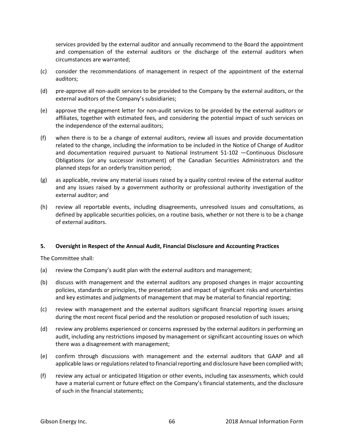services provided by the external auditor and annually recommend to the Board the appointment and compensation of the external auditors or the discharge of the external auditors when circumstances are warranted;

- (c) consider the recommendations of management in respect of the appointment of the external auditors;
- (d) pre-approve all non-audit services to be provided to the Company by the external auditors, or the external auditors of the Company's subsidiaries;
- (e) approve the engagement letter for non-audit services to be provided by the external auditors or affiliates, together with estimated fees, and considering the potential impact of such services on the independence of the external auditors;
- (f) when there is to be a change of external auditors, review all issues and provide documentation related to the change, including the information to be included in the Notice of Change of Auditor and documentation required pursuant to National Instrument 51-102 —Continuous Disclosure Obligations (or any successor instrument) of the Canadian Securities Administrators and the planned steps for an orderly transition period;
- (g) as applicable, review any material issues raised by a quality control review of the external auditor and any issues raised by a government authority or professional authority investigation of the external auditor; and
- (h) review all reportable events, including disagreements, unresolved issues and consultations, as defined by applicable securities policies, on a routine basis, whether or not there is to be a change of external auditors.

## **5. Oversight in Respect of the Annual Audit, Financial Disclosure and Accounting Practices**

The Committee shall:

- (a) review the Company's audit plan with the external auditors and management;
- (b) discuss with management and the external auditors any proposed changes in major accounting policies, standards or principles, the presentation and impact of significant risks and uncertainties and key estimates and judgments of management that may be material to financial reporting;
- (c) review with management and the external auditors significant financial reporting issues arising during the most recent fiscal period and the resolution or proposed resolution of such issues;
- (d) review any problems experienced or concerns expressed by the external auditors in performing an audit, including any restrictions imposed by management or significant accounting issues on which there was a disagreement with management;
- (e) confirm through discussions with management and the external auditors that GAAP and all applicable laws or regulations related to financial reporting and disclosure have been complied with;
- (f) review any actual or anticipated litigation or other events, including tax assessments, which could have a material current or future effect on the Company's financial statements, and the disclosure of such in the financial statements;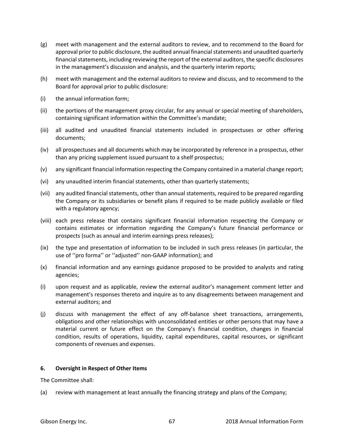- (g) meet with management and the external auditors to review, and to recommend to the Board for approval prior to public disclosure, the audited annual financial statements and unaudited quarterly financial statements, including reviewing the report of the external auditors, the specific disclosures in the management's discussion and analysis, and the quarterly interim reports;
- (h) meet with management and the external auditors to review and discuss, and to recommend to the Board for approval prior to public disclosure:
- (i) the annual information form;
- (ii) the portions of the management proxy circular, for any annual or special meeting of shareholders, containing significant information within the Committee's mandate;
- (iii) all audited and unaudited financial statements included in prospectuses or other offering documents;
- (iv) all prospectuses and all documents which may be incorporated by reference in a prospectus, other than any pricing supplement issued pursuant to a shelf prospectus;
- (v) any significant financial information respecting the Company contained in a material change report;
- (vi) any unaudited interim financial statements, other than quarterly statements;
- (vii) any audited financial statements, other than annual statements, required to be prepared regarding the Company or its subsidiaries or benefit plans if required to be made publicly available or filed with a regulatory agency;
- (viii) each press release that contains significant financial information respecting the Company or contains estimates or information regarding the Company's future financial performance or prospects (such as annual and interim earnings press releases);
- (ix) the type and presentation of information to be included in such press releases (in particular, the use of ''pro forma'' or ''adjusted'' non-GAAP information); and
- (x) financial information and any earnings guidance proposed to be provided to analysts and rating agencies;
- (i) upon request and as applicable, review the external auditor's management comment letter and management's responses thereto and inquire as to any disagreements between management and external auditors; and
- (j) discuss with management the effect of any off-balance sheet transactions, arrangements, obligations and other relationships with unconsolidated entities or other persons that may have a material current or future effect on the Company's financial condition, changes in financial condition, results of operations, liquidity, capital expenditures, capital resources, or significant components of revenues and expenses.

## **6. Oversight in Respect of Other Items**

The Committee shall:

(a) review with management at least annually the financing strategy and plans of the Company;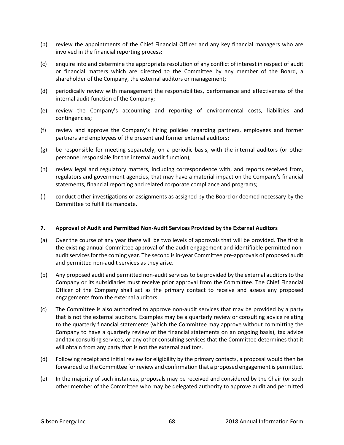- (b) review the appointments of the Chief Financial Officer and any key financial managers who are involved in the financial reporting process;
- (c) enquire into and determine the appropriate resolution of any conflict of interest in respect of audit or financial matters which are directed to the Committee by any member of the Board, a shareholder of the Company, the external auditors or management;
- (d) periodically review with management the responsibilities, performance and effectiveness of the internal audit function of the Company;
- (e) review the Company's accounting and reporting of environmental costs, liabilities and contingencies;
- (f) review and approve the Company's hiring policies regarding partners, employees and former partners and employees of the present and former external auditors;
- (g) be responsible for meeting separately, on a periodic basis, with the internal auditors (or other personnel responsible for the internal audit function);
- (h) review legal and regulatory matters, including correspondence with, and reports received from, regulators and government agencies, that may have a material impact on the Company's financial statements, financial reporting and related corporate compliance and programs;
- (i) conduct other investigations or assignments as assigned by the Board or deemed necessary by the Committee to fulfill its mandate.

## **7. Approval of Audit and Permitted Non-Audit Services Provided by the External Auditors**

- (a) Over the course of any year there will be two levels of approvals that will be provided. The first is the existing annual Committee approval of the audit engagement and identifiable permitted nonaudit services for the coming year. The second is in-year Committee pre-approvals of proposed audit and permitted non-audit services as they arise.
- (b) Any proposed audit and permitted non-audit services to be provided by the external auditors to the Company or its subsidiaries must receive prior approval from the Committee. The Chief Financial Officer of the Company shall act as the primary contact to receive and assess any proposed engagements from the external auditors.
- (c) The Committee is also authorized to approve non-audit services that may be provided by a party that is not the external auditors. Examples may be a quarterly review or consulting advice relating to the quarterly financial statements (which the Committee may approve without committing the Company to have a quarterly review of the financial statements on an ongoing basis), tax advice and tax consulting services, or any other consulting services that the Committee determines that it will obtain from any party that is not the external auditors.
- (d) Following receipt and initial review for eligibility by the primary contacts, a proposal would then be forwarded to the Committee for review and confirmation that a proposed engagement is permitted.
- (e) In the majority of such instances, proposals may be received and considered by the Chair (or such other member of the Committee who may be delegated authority to approve audit and permitted